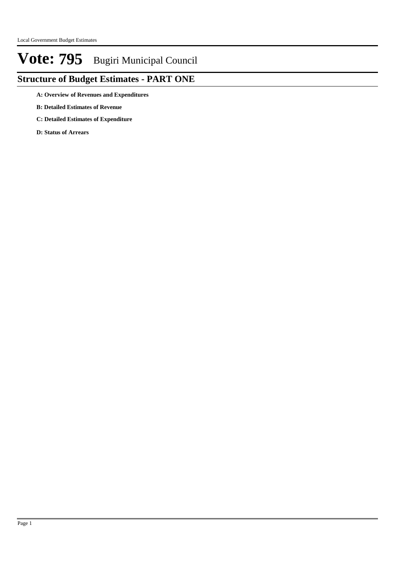## **Structure of Budget Estimates - PART ONE**

**A: Overview of Revenues and Expenditures**

- **B: Detailed Estimates of Revenue**
- **C: Detailed Estimates of Expenditure**

**D: Status of Arrears**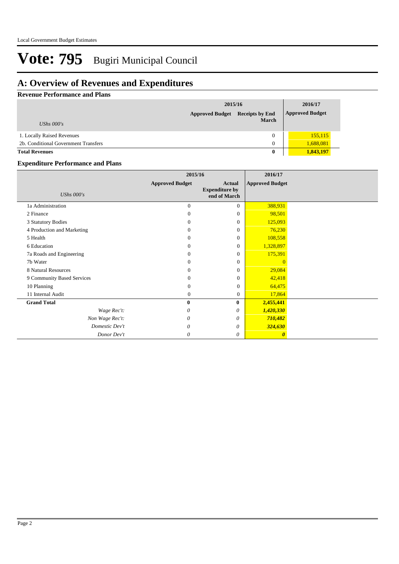## **A: Overview of Revenues and Expenditures**

### **Revenue Performance and Plans**

|                                      |                        | 2015/16                                |                        |  |
|--------------------------------------|------------------------|----------------------------------------|------------------------|--|
| UShs $000's$                         | <b>Approved Budget</b> | <b>Receipts by End</b><br><b>March</b> | <b>Approved Budget</b> |  |
| 1. Locally Raised Revenues           |                        | 0                                      | 155, 115               |  |
| 2b. Conditional Government Transfers |                        | $\theta$                               | 1,688,081              |  |
| <b>Total Revenues</b>                |                        | $\bf{0}$                               | 1,843,197              |  |

### **Expenditure Performance and Plans**

|                            | 2015/16                |                                                 | 2016/17                |  |
|----------------------------|------------------------|-------------------------------------------------|------------------------|--|
| <b>UShs 000's</b>          | <b>Approved Budget</b> | Actual<br><b>Expenditure by</b><br>end of March | <b>Approved Budget</b> |  |
| 1a Administration          | $\theta$               | $\overline{0}$                                  | 388,931                |  |
| 2 Finance                  | $\Omega$               | $\overline{0}$                                  | 98,501                 |  |
| 3 Statutory Bodies         | $\theta$               | $\boldsymbol{0}$                                | 125,093                |  |
| 4 Production and Marketing | $\Omega$               | $\boldsymbol{0}$                                | 76,230                 |  |
| 5 Health                   | $\Omega$               | $\overline{0}$                                  | 108,558                |  |
| 6 Education                | $\Omega$               | $\overline{0}$                                  | 1,328,897              |  |
| 7a Roads and Engineering   | $\Omega$               | $\overline{0}$                                  | 175,391                |  |
| 7b Water                   | $\Omega$               | $\boldsymbol{0}$                                | $\Omega$               |  |
| 8 Natural Resources        | $\Omega$               | $\overline{0}$                                  | 29,084                 |  |
| 9 Community Based Services | $\theta$               | $\boldsymbol{0}$                                | 42,418                 |  |
| 10 Planning                | $\Omega$               | $\overline{0}$                                  | 64,475                 |  |
| 11 Internal Audit          | $\theta$               | $\mathbf{0}$                                    | 17,864                 |  |
| <b>Grand Total</b>         | $\bf{0}$               | $\bf{0}$                                        | 2,455,441              |  |
| Wage Rec't:                | 0                      | 0                                               | 1,420,330              |  |
| Non Wage Rec't:            | 0                      | 0                                               | 710,482                |  |
| Domestic Dev't             | 0                      | $\theta$                                        | 324,630                |  |
| Donor Dev't                | 0                      | 0                                               | $\boldsymbol{\theta}$  |  |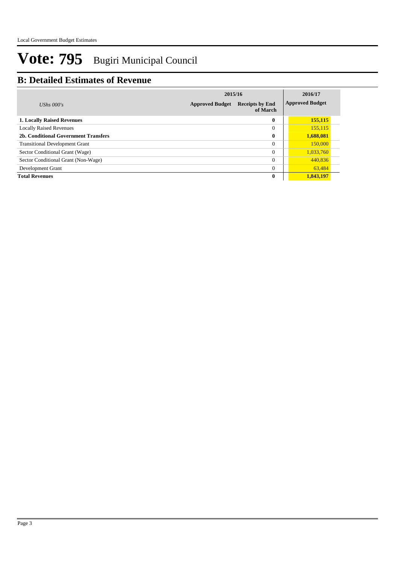## **B: Detailed Estimates of Revenue**

|                                       | 2015/16                | 2016/17                            |  |                        |
|---------------------------------------|------------------------|------------------------------------|--|------------------------|
| UShs $000's$                          | <b>Approved Budget</b> | <b>Receipts by End</b><br>of March |  | <b>Approved Budget</b> |
| <b>1. Locally Raised Revenues</b>     |                        | $\mathbf{0}$                       |  | 155,115                |
| <b>Locally Raised Revenues</b>        |                        | $\theta$                           |  | 155,115                |
| 2b. Conditional Government Transfers  |                        | $\bf{0}$                           |  | 1,688,081              |
| <b>Transitional Development Grant</b> |                        | $\Omega$                           |  | 150,000                |
| Sector Conditional Grant (Wage)       |                        | $\Omega$                           |  | 1,033,760              |
| Sector Conditional Grant (Non-Wage)   |                        | $\theta$                           |  | 440,836                |
| Development Grant                     |                        | $\theta$                           |  | 63,484                 |
| <b>Total Revenues</b>                 |                        | $\bf{0}$                           |  | 1,843,197              |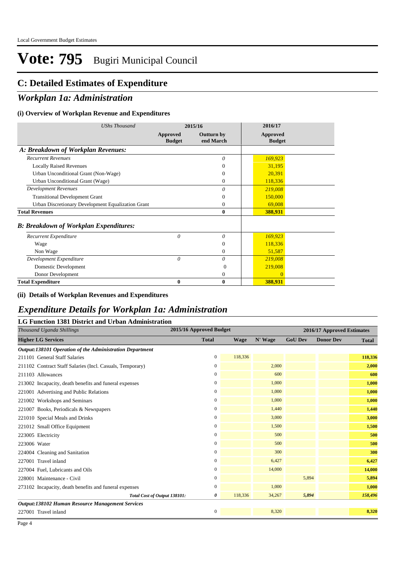## **C: Detailed Estimates of Expenditure**

### *Workplan 1a: Administration*

### **(i) Overview of Workplan Revenue and Expenditures**

| <b>UShs Thousand</b>                               |                           | 2015/16                        | 2016/17                   |
|----------------------------------------------------|---------------------------|--------------------------------|---------------------------|
|                                                    | Approved<br><b>Budget</b> | <b>Outturn by</b><br>end March | Approved<br><b>Budget</b> |
| A: Breakdown of Workplan Revenues:                 |                           |                                |                           |
| <b>Recurrent Revenues</b>                          |                           | $\theta$                       | 169,923                   |
| <b>Locally Raised Revenues</b>                     |                           | 0                              | 31,195                    |
| Urban Unconditional Grant (Non-Wage)               |                           | $\Omega$                       | 20,391                    |
| Urban Unconditional Grant (Wage)                   |                           | $\Omega$                       | 118,336                   |
| <b>Development Revenues</b>                        |                           | 0                              | 219,008                   |
| <b>Transitional Development Grant</b>              |                           | $\Omega$                       | 150,000                   |
| Urban Discretionary Development Equalization Grant |                           | $\Omega$                       | 69,008                    |
| <b>Total Revenues</b>                              |                           | $\bf{0}$                       | 388,931                   |
| <b>B: Breakdown of Workplan Expenditures:</b>      |                           |                                |                           |
| Recurrent Expenditure                              | 0                         | 0                              | 169,923                   |
| Wage                                               |                           | $\theta$                       | 118,336                   |
| Non Wage                                           |                           | $\theta$                       | 51,587                    |
| Development Expenditure                            | $\theta$                  | 0                              | 219,008                   |
| Domestic Development                               |                           | $\Omega$                       | 219,008                   |
| Donor Development                                  |                           | 0                              | $\Omega$                  |
| <b>Total Expenditure</b>                           | 0                         | $\bf{0}$                       | 388,931                   |

#### **(ii) Details of Workplan Revenues and Expenditures**

# *Expenditure Details for Workplan 1a: Administration*

| LG Function 1381 District and Urban Administration        |                         |         |         |                |                            |         |  |
|-----------------------------------------------------------|-------------------------|---------|---------|----------------|----------------------------|---------|--|
| Thousand Uganda Shillings                                 | 2015/16 Approved Budget |         |         |                | 2016/17 Approved Estimates |         |  |
| <b>Higher LG Services</b>                                 | <b>Total</b>            | Wage    | N' Wage | <b>GoU Dev</b> | <b>Donor Dev</b>           | Total   |  |
| Output:138101 Operation of the Administration Department  |                         |         |         |                |                            |         |  |
| 211101 General Staff Salaries                             | $\mathbf{0}$            | 118,336 |         |                |                            | 118,336 |  |
| 211102 Contract Staff Salaries (Incl. Casuals, Temporary) | $\bf{0}$                |         | 2,000   |                |                            | 2,000   |  |
| 211103 Allowances                                         | $\mathbf{0}$            |         | 600     |                |                            | 600     |  |
| 213002 Incapacity, death benefits and funeral expenses    | $\bf{0}$                |         | 1,000   |                |                            | 1,000   |  |
| 221001 Advertising and Public Relations                   | $\mathbf{0}$            |         | 1,000   |                |                            | 1,000   |  |
| 221002 Workshops and Seminars                             | $\boldsymbol{0}$        |         | 1,000   |                |                            | 1,000   |  |
| 221007 Books, Periodicals & Newspapers                    | $\mathbf{0}$            |         | 1,440   |                |                            | 1,440   |  |
| 221010 Special Meals and Drinks                           | $\mathbf{0}$            |         | 3,000   |                |                            | 3,000   |  |
| 221012 Small Office Equipment                             | $\mathbf{0}$            |         | 1,500   |                |                            | 1,500   |  |
| 223005 Electricity                                        | $\mathbf{0}$            |         | 500     |                |                            | 500     |  |
| 223006 Water                                              | $\mathbf{0}$            |         | 500     |                |                            | 500     |  |
| 224004 Cleaning and Sanitation                            | $\mathbf{0}$            |         | 300     |                |                            | 300     |  |
| 227001 Travel inland                                      | $\mathbf{0}$            |         | 6,427   |                |                            | 6,427   |  |
| 227004 Fuel, Lubricants and Oils                          | $\bf{0}$                |         | 14,000  |                |                            | 14,000  |  |
| 228001 Maintenance - Civil                                | $\boldsymbol{0}$        |         |         | 5,894          |                            | 5,894   |  |
| 273102 Incapacity, death benefits and funeral expenses    | $\mathbf{0}$            |         | 1,000   |                |                            | 1,000   |  |
| Total Cost of Output 138101:                              | 0                       | 118,336 | 34,267  | 5,894          |                            | 158,496 |  |
| Output:138102 Human Resource Management Services          |                         |         |         |                |                            |         |  |
| 227001 Travel inland                                      | $\mathbf{0}$            |         | 8,320   |                |                            | 8,320   |  |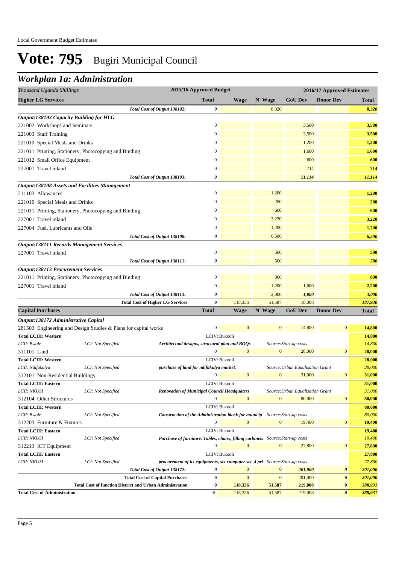## *Workplan 1a: Administration*

| Thousand Uganda Shillings                                       |                    | 2015/16 Approved Budget<br>2016/17 Approved Estimates                              |                  |                  |                |                                  |                       |              |
|-----------------------------------------------------------------|--------------------|------------------------------------------------------------------------------------|------------------|------------------|----------------|----------------------------------|-----------------------|--------------|
| <b>Higher LG Services</b>                                       |                    |                                                                                    | <b>Total</b>     | <b>Wage</b>      | N' Wage        | <b>GoU Dev</b>                   | <b>Donor Dev</b>      | <b>Total</b> |
|                                                                 |                    | Total Cost of Output 138102:                                                       | 0                |                  | 8,320          |                                  |                       | 8,320        |
| Output:138103 Capacity Building for HLG                         |                    |                                                                                    |                  |                  |                |                                  |                       |              |
| 221002 Workshops and Seminars                                   |                    |                                                                                    | $\boldsymbol{0}$ |                  |                | 3,500                            |                       | 3,500        |
| 221003 Staff Training                                           |                    |                                                                                    | $\boldsymbol{0}$ |                  |                | 3,500                            |                       | 3,500        |
| 221010 Special Meals and Drinks                                 |                    |                                                                                    | $\mathbf{0}$     |                  |                | 1,200                            |                       | 1,200        |
| 221011 Printing, Stationery, Photocopying and Binding           |                    |                                                                                    | $\boldsymbol{0}$ |                  |                | 1,600                            |                       | 1,600        |
| 221012 Small Office Equipment                                   |                    |                                                                                    | $\mathbf{0}$     |                  |                | 600                              |                       | 600          |
| 227001 Travel inland                                            |                    |                                                                                    | $\overline{0}$   |                  |                | 714                              |                       | 714          |
|                                                                 |                    |                                                                                    |                  |                  |                |                                  |                       |              |
|                                                                 |                    | Total Cost of Output 138103:                                                       | 0                |                  |                | 11,114                           |                       | 11,114       |
| <b>Output:138108 Assets and Facilities Management</b>           |                    |                                                                                    | $\boldsymbol{0}$ |                  | 1,200          |                                  |                       |              |
| 211103 Allowances                                               |                    |                                                                                    |                  |                  |                |                                  |                       | 1,200        |
| 221010 Special Meals and Drinks                                 |                    |                                                                                    | $\boldsymbol{0}$ |                  | 280            |                                  |                       | 280          |
| 221011 Printing, Stationery, Photocopying and Binding           |                    |                                                                                    | $\mathbf{0}$     |                  | 600            |                                  |                       | 600          |
| 227001 Travel inland                                            |                    |                                                                                    | $\mathbf{0}$     |                  | 3,220          |                                  |                       | 3,220        |
| 227004 Fuel, Lubricants and Oils                                |                    |                                                                                    | $\overline{0}$   |                  | 1,200          |                                  |                       | 1,200        |
|                                                                 |                    | Total Cost of Output 138108:                                                       | 0                |                  | 6,500          |                                  |                       | 6,500        |
| <b>Output:138111 Records Management Services</b>                |                    |                                                                                    |                  |                  |                |                                  |                       |              |
| 227001 Travel inland                                            |                    |                                                                                    | $\mathbf{0}$     |                  | 500            |                                  |                       | 500          |
|                                                                 |                    | Total Cost of Output 138111:                                                       | 0                |                  | 500            |                                  |                       | 500          |
| <b>Output:138113 Procurement Services</b>                       |                    |                                                                                    |                  |                  |                |                                  |                       |              |
| 221011 Printing, Stationery, Photocopying and Binding           |                    |                                                                                    | $\boldsymbol{0}$ |                  | 800            |                                  |                       | 800          |
| 227001 Travel inland                                            |                    |                                                                                    | $\mathbf{0}$     |                  | 1,200          | 1,000                            |                       | 2,200        |
|                                                                 |                    | Total Cost of Output 138113:                                                       | 0                |                  | 2,000          | 1,000                            |                       | 3,000        |
|                                                                 |                    | <b>Total Cost of Higher LG Services</b>                                            | $\bf{0}$         | 118,336          | 51,587         | 18,008                           |                       | 187,930      |
| <b>Capital Purchases</b>                                        |                    |                                                                                    | <b>Total</b>     | <b>Wage</b>      | N' Wage        | <b>GoU Dev</b>                   | <b>Donor Dev</b>      | <b>Total</b> |
| Output:138172 Administrative Capital                            |                    |                                                                                    |                  |                  |                |                                  |                       |              |
| 281503 Engineering and Design Studies & Plans for capital works |                    |                                                                                    | $\boldsymbol{0}$ | $\mathbf{0}$     | $\mathbf{0}$   | 14,800                           | $\mathbf{0}$          | 14,800       |
| <b>Total LCIII: Western</b>                                     |                    |                                                                                    |                  | LCIV: Bukooli    |                |                                  |                       | 14,800       |
| LCII: Bwole                                                     | LCI: Not Specified | Architectual designs, structural plan and BOQs                                     |                  |                  |                | Source: Start-up costs           |                       | 14,800       |
| 311101 Land                                                     |                    |                                                                                    | $\mathbf{0}$     | $\mathbf{0}$     | $\mathbf{0}$   | 28,000                           | $\mathbf{0}$          | 28,000       |
| <b>Total LCIII: Western</b>                                     |                    |                                                                                    |                  | LCIV: Bukooli    |                |                                  |                       | 28,000       |
| LCII: Ndifakulya                                                | LCI: Not Specified | purchase of land for ndifakulya market.                                            |                  |                  |                | Source: Urban Equalisation Grant |                       | 28,000       |
| 312101 Non-Residential Buildings                                |                    |                                                                                    | $\mathbf{0}$     | $\mathbf{0}$     | $\mathbf{0}$   | 31,000                           | $\mathbf{0}$          | 31,000       |
| <b>Total LCIII: Eastern</b>                                     |                    |                                                                                    |                  | LCIV: Bukooli    |                |                                  |                       | 31,000       |
| LCII: NKUSI                                                     | LCI: Not Specified | <b>Renovation of Municipal Council Headquaters</b>                                 |                  |                  |                | Source: Urban Equalisation Grant |                       | 31,000       |
| 312104 Other Structures                                         |                    |                                                                                    | $\Omega$         | $\mathbf{0}$     | $\mathbf{0}$   | 80,000                           | $\boldsymbol{0}$      | 80,000       |
| <b>Total LCIII: Western</b>                                     |                    |                                                                                    |                  | LCIV: Bukooli    |                |                                  |                       | 80,000       |
| LCII: Bwole                                                     | LCI: Not Specified | <b>Construction of the Administration block for municip</b> Source: Start-up costs |                  |                  |                |                                  |                       | 80,000       |
| 312203 Furniture & Fixtures                                     |                    |                                                                                    | $\boldsymbol{0}$ | $\overline{0}$   | $\mathbf{0}$   | 19,400                           | $\bf{0}$              | 19,400       |
| <b>Total LCIII: Eastern</b>                                     |                    |                                                                                    |                  | LCIV: Bukooli    |                |                                  |                       | 19,400       |
| LCII: NKUSI                                                     | LCI: Not Specified | Purchase of furniture. Tables, chairs, filling carbinets Source: Start-up costs    |                  |                  |                |                                  |                       | 19,400       |
| 312213 ICT Equipment                                            |                    |                                                                                    | $\mathbf{0}$     |                  | $\overline{0}$ | 27,800                           | $\boldsymbol{0}$      | 27,800       |
| <b>Total LCIII: Eastern</b>                                     |                    |                                                                                    |                  | LCIV: Bukooli    |                |                                  |                       | 27,800       |
| LCII: NKUSI                                                     | LCI: Not Specified | procurement of ict equipments, six computer set, 4 pri Source: Start-up costs      |                  |                  |                |                                  |                       | 27,800       |
|                                                                 |                    | Total Cost of Output 138172:                                                       | 0                | $\boldsymbol{0}$ | $\mathbf{0}$   | 201,000                          | $\boldsymbol{\theta}$ | 201,000      |
|                                                                 |                    | <b>Total Cost of Capital Purchases</b>                                             | $\bf{0}$         | $\mathbf{0}$     | $\mathbf{0}$   | 201,000                          | $\pmb{0}$             | 201,000      |
|                                                                 |                    | <b>Total Cost of function District and Urban Administration</b>                    | $\boldsymbol{0}$ | 118,336          | 51,587         | 219,008                          | $\bf{0}$              | 388,931      |
| <b>Total Cost of Administration</b>                             |                    |                                                                                    | $\bf{0}$         | 118,336          | 51,587         | 219,008                          | $\bf{0}$              | 388,931      |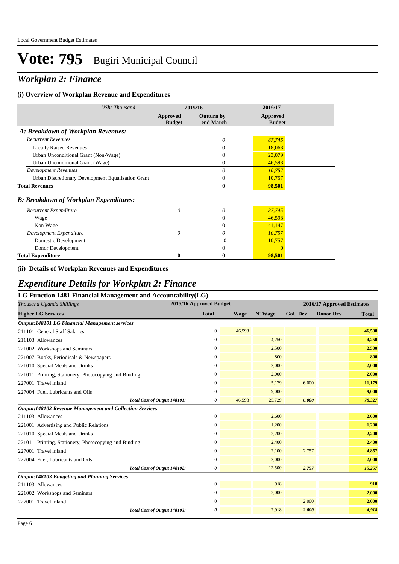## *Workplan 2: Finance*

### **(i) Overview of Workplan Revenue and Expenditures**

| <b>UShs Thousand</b>                               |                           | 2015/16                        | 2016/17                   |
|----------------------------------------------------|---------------------------|--------------------------------|---------------------------|
|                                                    | Approved<br><b>Budget</b> | <b>Outturn by</b><br>end March | Approved<br><b>Budget</b> |
| A: Breakdown of Workplan Revenues:                 |                           |                                |                           |
| <b>Recurrent Revenues</b>                          |                           | $\theta$                       | 87,745                    |
| <b>Locally Raised Revenues</b>                     |                           | $\theta$                       | 18,068                    |
| Urban Unconditional Grant (Non-Wage)               |                           | $\Omega$                       | 23,079                    |
| Urban Unconditional Grant (Wage)                   |                           | $\Omega$                       | 46,598                    |
| <b>Development Revenues</b>                        |                           | $\theta$                       | 10,757                    |
| Urban Discretionary Development Equalization Grant |                           | $\theta$                       | 10,757                    |
| <b>Total Revenues</b>                              |                           | $\bf{0}$                       | 98,501                    |
| <b>B: Breakdown of Workplan Expenditures:</b>      |                           |                                |                           |
| Recurrent Expenditure                              | $\theta$                  | $\theta$                       | 87,745                    |
| Wage                                               |                           | $\theta$                       | 46,598                    |
| Non Wage                                           |                           | $\overline{0}$                 | 41,147                    |
| Development Expenditure                            | 0                         | $\theta$                       | 10,757                    |
| Domestic Development                               |                           | 0                              | 10,757                    |
| Donor Development                                  |                           | $\overline{0}$                 | $\overline{0}$            |
| <b>Total Expenditure</b>                           | 0                         | $\bf{0}$                       | 98,501                    |

#### **(ii) Details of Workplan Revenues and Expenditures**

### *Expenditure Details for Workplan 2: Finance*

| LG Function 1481 Financial Management and Accountability(LG)    |                         |             |         |                |                            |              |  |
|-----------------------------------------------------------------|-------------------------|-------------|---------|----------------|----------------------------|--------------|--|
| Thousand Uganda Shillings                                       | 2015/16 Approved Budget |             |         |                | 2016/17 Approved Estimates |              |  |
| <b>Higher LG Services</b>                                       | <b>Total</b>            | <b>Wage</b> | N' Wage | <b>GoU Dev</b> | <b>Donor Dev</b>           | <b>Total</b> |  |
| Output:148101 LG Financial Management services                  |                         |             |         |                |                            |              |  |
| 211101 General Staff Salaries                                   | 0                       | 46,598      |         |                |                            | 46,598       |  |
| 211103 Allowances                                               | $\overline{0}$          |             | 4,250   |                |                            | 4,250        |  |
| 221002 Workshops and Seminars                                   | $\overline{0}$          |             | 2,500   |                |                            | 2,500        |  |
| 221007 Books, Periodicals & Newspapers                          | $\overline{0}$          |             | 800     |                |                            | 800          |  |
| 221010 Special Meals and Drinks                                 | $\overline{0}$          |             | 2,000   |                |                            | 2,000        |  |
| 221011 Printing, Stationery, Photocopying and Binding           | 0                       |             | 2,000   |                |                            | 2,000        |  |
| 227001 Travel inland                                            | 0                       |             | 5,179   | 6,000          |                            | 11,179       |  |
| 227004 Fuel, Lubricants and Oils                                | 0                       |             | 9,000   |                |                            | 9,000        |  |
| Total Cost of Output 148101:                                    | 0                       | 46,598      | 25,729  | 6,000          |                            | 78,327       |  |
| <b>Output:148102 Revenue Management and Collection Services</b> |                         |             |         |                |                            |              |  |
| 211103 Allowances                                               | $\overline{0}$          |             | 2,600   |                |                            | 2,600        |  |
| 221001 Advertising and Public Relations                         | 0                       |             | 1,200   |                |                            | 1,200        |  |
| 221010 Special Meals and Drinks                                 | 0                       |             | 2,200   |                |                            | 2,200        |  |
| 221011 Printing, Stationery, Photocopying and Binding           | 0                       |             | 2,400   |                |                            | 2,400        |  |
| 227001 Travel inland                                            | $\overline{0}$          |             | 2,100   | 2,757          |                            | 4,857        |  |
| 227004 Fuel, Lubricants and Oils                                | 0                       |             | 2,000   |                |                            | 2,000        |  |
| Total Cost of Output 148102:                                    | 0                       |             | 12,500  | 2,757          |                            | 15,257       |  |
| <b>Output:148103 Budgeting and Planning Services</b>            |                         |             |         |                |                            |              |  |
| 211103 Allowances                                               | $\overline{0}$          |             | 918     |                |                            | 918          |  |
| 221002 Workshops and Seminars                                   | 0                       |             | 2,000   |                |                            | 2,000        |  |
| 227001 Travel inland                                            | 0                       |             |         | 2,000          |                            | 2,000        |  |
| Total Cost of Output 148103:                                    | 0                       |             | 2,918   | 2,000          |                            | 4,918        |  |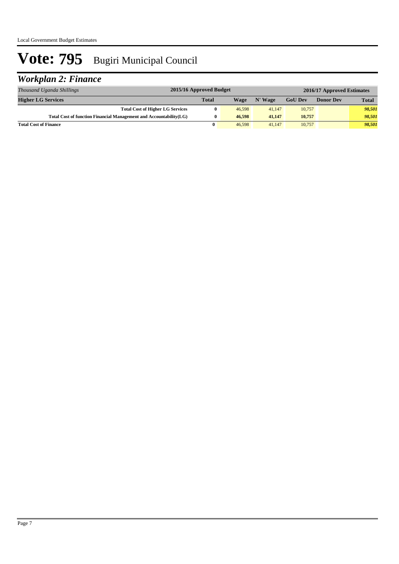## *Workplan 2: Finance*

| Thousand Uganda Shillings                                          | 2015/16 Approved Budget |        |         |                | 2016/17 Approved Estimates |              |
|--------------------------------------------------------------------|-------------------------|--------|---------|----------------|----------------------------|--------------|
| <b>Higher LG Services</b>                                          | <b>Total</b>            | Wage   | N' Wage | <b>GoU Dev</b> | <b>Donor Dev</b>           | <b>Total</b> |
| <b>Total Cost of Higher LG Services</b>                            |                         | 46,598 | 41,147  | 10,757         |                            | 98.501       |
| Total Cost of function Financial Management and Accountability(LG) |                         | 46,598 | 41,147  | 10.757         |                            | 98.501       |
| <b>Total Cost of Finance</b>                                       | 0                       | 46,598 | 41,147  | 10,757         |                            | 98,501       |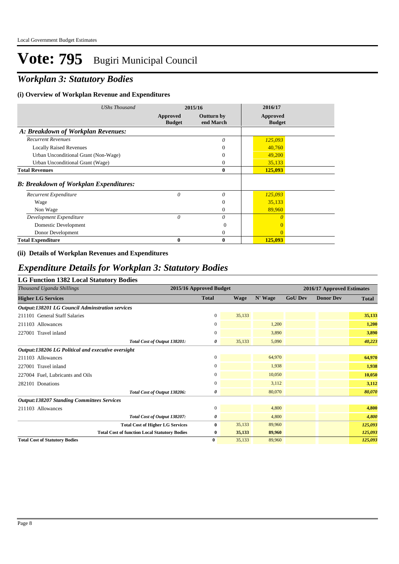## *Workplan 3: Statutory Bodies*

### **(i) Overview of Workplan Revenue and Expenditures**

| <b>UShs Thousand</b>                          |                           | 2015/16                        | 2016/17                   |  |
|-----------------------------------------------|---------------------------|--------------------------------|---------------------------|--|
|                                               | Approved<br><b>Budget</b> | <b>Outturn by</b><br>end March | Approved<br><b>Budget</b> |  |
| A: Breakdown of Workplan Revenues:            |                           |                                |                           |  |
| <b>Recurrent Revenues</b>                     |                           | $\theta$                       | 125,093                   |  |
| <b>Locally Raised Revenues</b>                |                           | 0                              | 40,760                    |  |
| Urban Unconditional Grant (Non-Wage)          |                           | $\Omega$                       | 49,200                    |  |
| Urban Unconditional Grant (Wage)              |                           | $\overline{0}$                 | 35,133                    |  |
| <b>Total Revenues</b>                         |                           | $\bf{0}$                       | 125,093                   |  |
| <b>B: Breakdown of Workplan Expenditures:</b> |                           |                                |                           |  |
| Recurrent Expenditure                         | 0                         | 0                              | 125,093                   |  |
| Wage                                          |                           | $\Omega$                       | 35,133                    |  |
| Non Wage                                      |                           | $\Omega$                       | 89,960                    |  |
| Development Expenditure                       | $\theta$                  | 0                              | $\theta$                  |  |
| Domestic Development                          |                           | $\theta$                       | $\Omega$                  |  |
| Donor Development                             |                           | $\Omega$                       | $\Omega$                  |  |
| <b>Total Expenditure</b>                      | 0                         | 0                              | 125,093                   |  |

### **(ii) Details of Workplan Revenues and Expenditures**

### *Expenditure Details for Workplan 3: Statutory Bodies*

### **LG Function 1382 Local Statutory Bodies**

| Thousand Uganda Shillings                              | 2015/16 Approved Budget      |                |             |         | 2016/17 Approved Estimates |                  |              |
|--------------------------------------------------------|------------------------------|----------------|-------------|---------|----------------------------|------------------|--------------|
| <b>Higher LG Services</b>                              |                              | <b>Total</b>   | <b>Wage</b> | N' Wage | <b>GoU Dev</b>             | <b>Donor Dev</b> | <b>Total</b> |
| <b>Output:138201 LG Council Adminstration services</b> |                              |                |             |         |                            |                  |              |
| 211101 General Staff Salaries                          |                              | $\mathbf{0}$   | 35,133      |         |                            |                  | 35,133       |
| 211103 Allowances                                      |                              | 0              |             | 1,200   |                            |                  | 1,200        |
| 227001 Travel inland                                   |                              | $\mathbf{0}$   |             | 3,890   |                            |                  | 3,890        |
|                                                        | Total Cost of Output 138201: | 0              | 35,133      | 5,090   |                            |                  | 40,223       |
| Output:138206 LG Political and executive oversight     |                              |                |             |         |                            |                  |              |
| 211103 Allowances                                      |                              | $\mathbf{0}$   |             | 64,970  |                            |                  | 64,970       |
| 227001 Travel inland                                   |                              | $\mathbf{0}$   |             | 1,938   |                            |                  | 1,938        |
| 227004 Fuel, Lubricants and Oils                       |                              | $\overline{0}$ |             | 10,050  |                            |                  | 10,050       |
| 282101 Donations                                       |                              | $\mathbf{0}$   |             | 3,112   |                            |                  | 3,112        |
|                                                        | Total Cost of Output 138206: | 0              |             | 80,070  |                            |                  | 80,070       |
| <b>Output:138207 Standing Committees Services</b>      |                              |                |             |         |                            |                  |              |
| 211103 Allowances                                      |                              | $\mathbf{0}$   |             | 4,800   |                            |                  | 4,800        |
|                                                        | Total Cost of Output 138207: | 0              |             | 4,800   |                            |                  | 4,800        |
| <b>Total Cost of Higher LG Services</b>                |                              | $\bf{0}$       | 35,133      | 89,960  |                            |                  | 125,093      |
| <b>Total Cost of function Local Statutory Bodies</b>   |                              | $\bf{0}$       | 35,133      | 89,960  |                            |                  | 125,093      |
| <b>Total Cost of Statutory Bodies</b>                  |                              | $\bf{0}$       | 35,133      | 89,960  |                            |                  | 125,093      |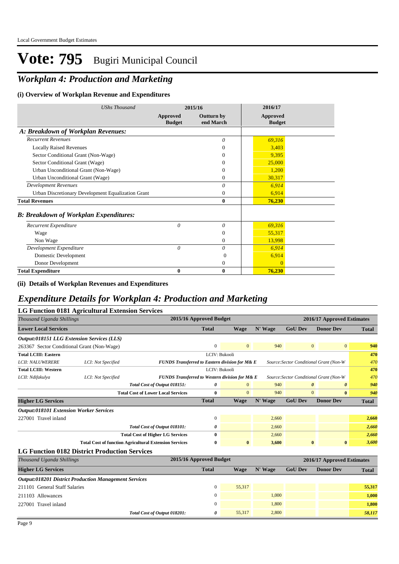## *Workplan 4: Production and Marketing*

### **(i) Overview of Workplan Revenue and Expenditures**

| <b>UShs Thousand</b>                               |                           | 2015/16                        | 2016/17                   |  |
|----------------------------------------------------|---------------------------|--------------------------------|---------------------------|--|
|                                                    | Approved<br><b>Budget</b> | <b>Outturn by</b><br>end March | Approved<br><b>Budget</b> |  |
| A: Breakdown of Workplan Revenues:                 |                           |                                |                           |  |
| <b>Recurrent Revenues</b>                          |                           | $\theta$                       | 69,316                    |  |
| <b>Locally Raised Revenues</b>                     |                           | $\Omega$                       | 3,403                     |  |
| Sector Conditional Grant (Non-Wage)                |                           | $\Omega$                       | 9,395                     |  |
| Sector Conditional Grant (Wage)                    |                           | $\Omega$                       | 25,000                    |  |
| Urban Unconditional Grant (Non-Wage)               |                           | $\Omega$                       | 1,200                     |  |
| Urban Unconditional Grant (Wage)                   |                           | $\overline{0}$                 | 30,317                    |  |
| <b>Development Revenues</b>                        |                           | 0                              | 6,914                     |  |
| Urban Discretionary Development Equalization Grant |                           | $\Omega$                       | 6,914                     |  |
| <b>Total Revenues</b>                              |                           | $\mathbf{0}$                   | 76,230                    |  |
| <b>B: Breakdown of Workplan Expenditures:</b>      |                           |                                |                           |  |
| Recurrent Expenditure                              | $\theta$                  | $\theta$                       | 69,316                    |  |
| Wage                                               |                           | $\Omega$                       | 55,317                    |  |
| Non Wage                                           |                           | $\mathbf{0}$                   | 13,998                    |  |
| Development Expenditure                            | $\theta$                  | 0                              | 6,914                     |  |
| Domestic Development                               |                           | $\Omega$                       | 6,914                     |  |
| Donor Development                                  |                           | $\mathbf{0}$                   | $\Omega$                  |  |
| <b>Total Expenditure</b>                           | 0                         | $\bf{0}$                       | 76,230                    |  |

#### **(ii) Details of Workplan Revenues and Expenditures**

## *Expenditure Details for Workplan 4: Production and Marketing*

| <b>LG Function 0181 Agricultural Extension Services</b>      |                                                               |                                                           |                         |              |         |                            |                                         |              |
|--------------------------------------------------------------|---------------------------------------------------------------|-----------------------------------------------------------|-------------------------|--------------|---------|----------------------------|-----------------------------------------|--------------|
| Thousand Uganda Shillings                                    |                                                               |                                                           | 2015/16 Approved Budget |              |         | 2016/17 Approved Estimates |                                         |              |
| <b>Lower Local Services</b>                                  |                                                               |                                                           | <b>Total</b>            | <b>Wage</b>  | N' Wage | <b>GoU Dev</b>             | <b>Donor Dev</b>                        | <b>Total</b> |
| <b>Output:018151 LLG Extension Services (LLS)</b>            |                                                               |                                                           |                         |              |         |                            |                                         |              |
| 263367 Sector Conditional Grant (Non-Wage)                   |                                                               |                                                           | $\mathbf{0}$            | $\mathbf{0}$ | 940     |                            | $\overline{0}$<br>$\overline{0}$        | 940          |
| <b>Total LCIII: Eastern</b>                                  |                                                               |                                                           | LCIV: Bukooli           |              |         |                            |                                         | 470          |
| <b>LCII: NALUWERERE</b>                                      | LCI: Not Specified                                            | FUNDS Transferred to Eastern division for M& E            |                         |              |         |                            | Source: Sector Conditional Grant (Non-W | 470          |
| <b>Total LCIII: Western</b>                                  |                                                               |                                                           | LCIV: Bukooli           |              |         |                            |                                         | 470          |
| LCII: Ndifakulya                                             | LCI: Not Specified                                            | <b>FUNDS Transferred to Western division for M&amp; E</b> |                         |              |         |                            | Source: Sector Conditional Grant (Non-W | 470          |
|                                                              |                                                               | Total Cost of Output 018151:                              | 0                       | $\mathbf{0}$ | 940     |                            | $\boldsymbol{\theta}$<br>0              | 940          |
|                                                              |                                                               | <b>Total Cost of Lower Local Services</b>                 | $\bf{0}$                | $\theta$     | 940     |                            | $\overline{0}$<br>$\bf{0}$              | 940          |
| <b>Higher LG Services</b>                                    |                                                               |                                                           | <b>Total</b>            | Wage         | N' Wage | <b>GoU Dev</b>             | <b>Donor Dev</b>                        | <b>Total</b> |
| <b>Output:018101 Extension Worker Services</b>               |                                                               |                                                           |                         |              |         |                            |                                         |              |
| 227001 Travel inland                                         |                                                               |                                                           | $\mathbf{0}$            |              | 2,660   |                            |                                         | 2,660        |
|                                                              |                                                               | Total Cost of Output 018101:                              | 0                       |              | 2,660   |                            |                                         | 2,660        |
|                                                              |                                                               | <b>Total Cost of Higher LG Services</b>                   | $\bf{0}$                |              | 2,660   |                            |                                         | 2,660        |
|                                                              | <b>Total Cost of function Agricultural Extension Services</b> |                                                           | $\bf{0}$                | $\bf{0}$     | 3,600   |                            | $\bf{0}$<br>$\bf{0}$                    | 3,600        |
| <b>LG Function 0182 District Production Services</b>         |                                                               |                                                           |                         |              |         |                            |                                         |              |
| Thousand Uganda Shillings                                    |                                                               |                                                           | 2015/16 Approved Budget |              |         |                            | 2016/17 Approved Estimates              |              |
| <b>Higher LG Services</b>                                    |                                                               |                                                           | <b>Total</b>            | Wage         | N' Wage | <b>GoU Dev</b>             | <b>Donor Dev</b>                        | <b>Total</b> |
| <b>Output:018201 District Production Management Services</b> |                                                               |                                                           |                         |              |         |                            |                                         |              |
| 211101 General Staff Salaries                                |                                                               |                                                           | $\mathbf{0}$            | 55,317       |         |                            |                                         | 55,317       |
| 211103 Allowances                                            |                                                               |                                                           | $\mathbf{0}$            |              | 1,000   |                            |                                         | 1,000        |
| 227001 Travel inland                                         |                                                               |                                                           | $\Omega$                |              | 1,800   |                            |                                         | 1,800        |
|                                                              |                                                               | Total Cost of Output 018201:                              | 0                       | 55.317       | 2.800   |                            |                                         | 58.117       |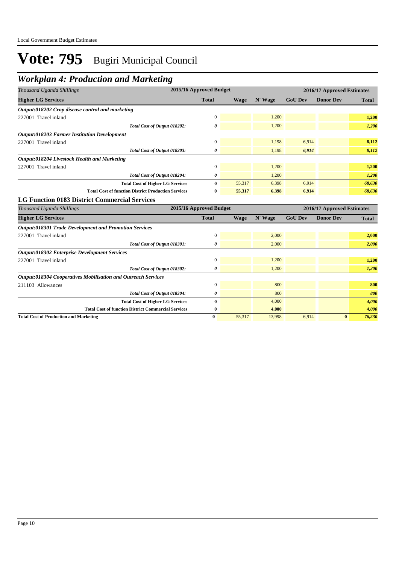## *Workplan 4: Production and Marketing*

| Thousand Uganda Shillings                                            |                                         | 2015/16 Approved Budget |             | 2016/17 Approved Estimates |                |                            |              |
|----------------------------------------------------------------------|-----------------------------------------|-------------------------|-------------|----------------------------|----------------|----------------------------|--------------|
| <b>Higher LG Services</b>                                            |                                         | <b>Total</b>            | <b>Wage</b> | N' Wage                    | <b>GoU Dev</b> | <b>Donor Dev</b>           | <b>Total</b> |
| Output:018202 Crop disease control and marketing                     |                                         |                         |             |                            |                |                            |              |
| 227001 Travel inland                                                 |                                         | $\mathbf{0}$            |             | 1,200                      |                |                            | 1,200        |
|                                                                      | Total Cost of Output 018202:            | 0                       |             | 1,200                      |                |                            | 1,200        |
| <b>Output:018203 Farmer Institution Development</b>                  |                                         |                         |             |                            |                |                            |              |
| 227001 Travel inland                                                 |                                         | $\mathbf{0}$            |             | 1,198                      | 6,914          |                            | 8,112        |
|                                                                      | Total Cost of Output 018203:            | 0                       |             | 1,198                      | 6,914          |                            | 8,112        |
| Output:018204 Livestock Health and Marketing                         |                                         |                         |             |                            |                |                            |              |
| 227001 Travel inland                                                 |                                         | $\mathbf{0}$            |             | 1,200                      |                |                            | 1,200        |
|                                                                      | Total Cost of Output 018204:            | 0                       |             | 1,200                      |                |                            | 1,200        |
|                                                                      | <b>Total Cost of Higher LG Services</b> | $\mathbf{0}$            | 55,317      | 6,398                      | 6,914          |                            | 68,630       |
| <b>Total Cost of function District Production Services</b>           |                                         | $\bf{0}$                | 55,317      | 6,398                      | 6,914          |                            | 68,630       |
| <b>LG Function 0183 District Commercial Services</b>                 |                                         |                         |             |                            |                |                            |              |
| Thousand Uganda Shillings                                            |                                         | 2015/16 Approved Budget |             |                            |                | 2016/17 Approved Estimates |              |
| <b>Higher LG Services</b>                                            |                                         | <b>Total</b>            | <b>Wage</b> | N' Wage                    | <b>GoU Dev</b> | <b>Donor Dev</b>           | <b>Total</b> |
| <b>Output:018301 Trade Development and Promotion Services</b>        |                                         |                         |             |                            |                |                            |              |
| 227001 Travel inland                                                 |                                         | $\boldsymbol{0}$        |             | 2,000                      |                |                            | 2,000        |
|                                                                      | Total Cost of Output 018301:            | 0                       |             | 2,000                      |                |                            | 2,000        |
| <b>Output:018302 Enterprise Development Services</b>                 |                                         |                         |             |                            |                |                            |              |
| 227001 Travel inland                                                 |                                         | $\mathbf{0}$            |             | 1,200                      |                |                            | 1,200        |
|                                                                      | Total Cost of Output 018302:            | 0                       |             | 1,200                      |                |                            | 1,200        |
| <b>Output:018304 Cooperatives Mobilisation and Outreach Services</b> |                                         |                         |             |                            |                |                            |              |
| 211103 Allowances                                                    |                                         | $\boldsymbol{0}$        |             | 800                        |                |                            | 800          |
|                                                                      | Total Cost of Output 018304:            | 0                       |             | 800                        |                |                            | 800          |
|                                                                      | <b>Total Cost of Higher LG Services</b> | $\bf{0}$                |             | 4,000                      |                |                            | 4,000        |
| <b>Total Cost of function District Commercial Services</b>           |                                         | $\bf{0}$                |             | 4,000                      |                |                            | 4,000        |
| <b>Total Cost of Production and Marketing</b>                        |                                         | $\bf{0}$                | 55.317      | 13,998                     | 6,914          | $\bf{0}$                   | 76,230       |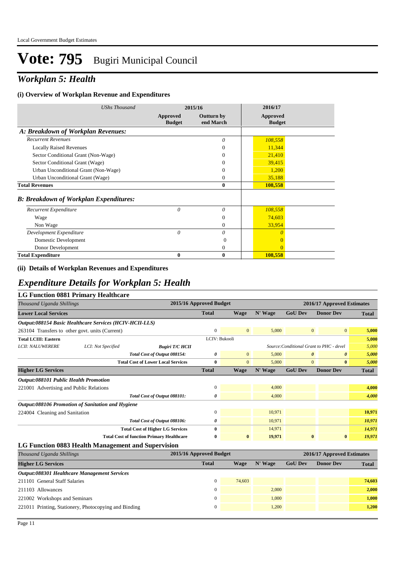## *Workplan 5: Health*

### **(i) Overview of Workplan Revenue and Expenditures**

| <b>UShs Thousand</b>                          | 2015/16                   |                                | 2016/17                          |
|-----------------------------------------------|---------------------------|--------------------------------|----------------------------------|
|                                               | Approved<br><b>Budget</b> | <b>Outturn by</b><br>end March | <b>Approved</b><br><b>Budget</b> |
| A: Breakdown of Workplan Revenues:            |                           |                                |                                  |
| <b>Recurrent Revenues</b>                     |                           | 0                              | 108,558                          |
| <b>Locally Raised Revenues</b>                |                           | 0                              | 11,344                           |
| Sector Conditional Grant (Non-Wage)           |                           | $\theta$                       | 21,410                           |
| Sector Conditional Grant (Wage)               |                           | $\Omega$                       | 39,415                           |
| Urban Unconditional Grant (Non-Wage)          |                           | 0                              | 1,200                            |
| Urban Unconditional Grant (Wage)              |                           | 0                              | 35,188                           |
| <b>Total Revenues</b>                         |                           | 0                              | 108,558                          |
| <b>B: Breakdown of Workplan Expenditures:</b> |                           |                                |                                  |
| Recurrent Expenditure                         | 0                         | 0                              | 108,558                          |
| Wage                                          |                           | $\mathbf{0}$                   | 74,603                           |
| Non Wage                                      |                           | $\overline{0}$                 | 33,954                           |
| Development Expenditure                       | 0                         | 0                              | $\theta$                         |
| Domestic Development                          |                           | 0                              | $\overline{0}$                   |
| Donor Development                             |                           | $\overline{0}$                 | $\Omega$                         |
| <b>Total Expenditure</b>                      | 0                         | 0                              | 108,558                          |

### **(ii) Details of Workplan Revenues and Expenditures**

### *Expenditure Details for Workplan 5: Health*

| LG Function 0881 Primary Healthcare                     |                    |                                           |                         |              |         |                                          |                       |              |
|---------------------------------------------------------|--------------------|-------------------------------------------|-------------------------|--------------|---------|------------------------------------------|-----------------------|--------------|
| Thousand Uganda Shillings                               |                    |                                           | 2015/16 Approved Budget |              |         | 2016/17 Approved Estimates               |                       |              |
| <b>Lower Local Services</b>                             |                    |                                           | <b>Total</b>            | Wage         | N' Wage | <b>GoU Dev</b>                           | <b>Donor Dev</b>      | <b>Total</b> |
| Output:088154 Basic Healthcare Services (HCIV-HCII-LLS) |                    |                                           |                         |              |         |                                          |                       |              |
| 263104 Transfers to other govt. units (Current)         |                    |                                           | $\Omega$                | $\mathbf{0}$ | 5.000   | $\mathbf{0}$                             | $\mathbf{0}$          | 5.000        |
| <b>Total LCIII: Eastern</b>                             |                    |                                           | LCIV: Bukooli           |              |         |                                          |                       | 5,000        |
| <b>LCII: NALUWERERE</b>                                 | LCI: Not Specified | <b>Bugiri T/C HCII</b>                    |                         |              |         | Source: Conditional Grant to PHC - devel |                       | 5,000        |
|                                                         |                    | Total Cost of Output 088154:              | $\theta$                | $\mathbf{0}$ | 5.000   | $\boldsymbol{\theta}$                    | $\boldsymbol{\theta}$ | 5,000        |
|                                                         |                    | <b>Total Cost of Lower Local Services</b> | $\mathbf{0}$            | $\mathbf{0}$ | 5.000   | $\mathbf{0}$                             | $\bf{0}$              | 5.000        |

| <b>Higher LG Services</b>                         | <b>Total</b> | Wage     | N' Wage | <b>GoU Dev</b> | <b>Donor Dev</b> | <b>Total</b> |
|---------------------------------------------------|--------------|----------|---------|----------------|------------------|--------------|
| <b>Output:088101 Public Health Promotion</b>      |              |          |         |                |                  |              |
| 221001 Advertising and Public Relations           |              |          | 4.000   |                |                  | 4.000        |
| Total Cost of Output 088101:                      | 0            |          | 4,000   |                |                  | 4.000        |
| Output:088106 Promotion of Sanitation and Hygiene |              |          |         |                |                  |              |
| 224004 Cleaning and Sanitation                    | $\Omega$     |          | 10.971  |                |                  | 10,971       |
| Total Cost of Output 088106:                      | 0            |          | 10.971  |                |                  | 10,971       |
| <b>Total Cost of Higher LG Services</b>           | $\bf{0}$     |          | 14,971  |                |                  | 14,971       |
| <b>Total Cost of function Primary Healthcare</b>  | $\bf{0}$     | $\bf{0}$ | 19.971  | $\mathbf{0}$   | $\bf{0}$         | 19,971       |
|                                                   |              |          |         |                |                  |              |

#### **LG Function 0883 Health Management and Supervision**

| Thousand Uganda Shillings                             | 2015/16 Approved Budget |        |         |                | 2016/17 Approved Estimates |              |  |
|-------------------------------------------------------|-------------------------|--------|---------|----------------|----------------------------|--------------|--|
| <b>Higher LG Services</b>                             | <b>Total</b>            | Wage   | N' Wage | <b>GoU Dev</b> | <b>Donor Dev</b>           | <b>Total</b> |  |
| Output:088301 Healthcare Management Services          |                         |        |         |                |                            |              |  |
| 211101 General Staff Salaries                         |                         | 74,603 |         |                |                            | 74,603       |  |
| 211103 Allowances                                     |                         |        | 2.000   |                |                            | 2,000        |  |
| 221002 Workshops and Seminars                         |                         |        | 1.000   |                |                            | 1.000        |  |
| 221011 Printing, Stationery, Photocopying and Binding |                         |        | 1,200   |                |                            | 1,200        |  |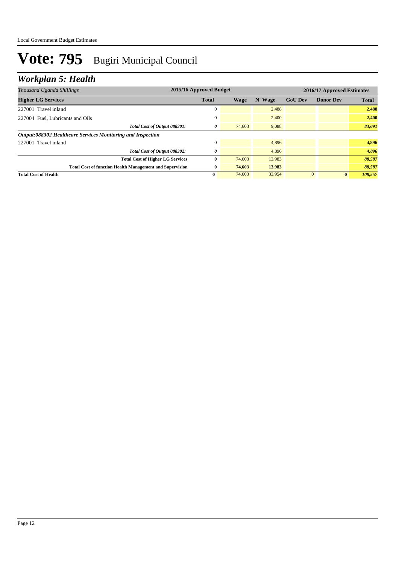## *Workplan 5: Health*

| Thousand Uganda Shillings                                       | 2015/16 Approved Budget |        |         |                | 2016/17 Approved Estimates |              |  |
|-----------------------------------------------------------------|-------------------------|--------|---------|----------------|----------------------------|--------------|--|
| <b>Higher LG Services</b>                                       | <b>Total</b>            | Wage   | N' Wage | <b>GoU Dev</b> | <b>Donor Dev</b>           | <b>Total</b> |  |
| 227001 Travel inland                                            | $\mathbf{0}$            |        | 2,488   |                |                            | 2,488        |  |
| 227004 Fuel, Lubricants and Oils                                | $\mathbf{0}$            |        | 2,400   |                |                            | 2,400        |  |
| Total Cost of Output 088301:                                    | 0                       | 74,603 | 9,088   |                |                            | 83,691       |  |
| Output:088302 Healthcare Services Monitoring and Inspection     |                         |        |         |                |                            |              |  |
| 227001 Travel inland                                            | $\Omega$                |        | 4.896   |                |                            | 4,896        |  |
| Total Cost of Output 088302:                                    | 0                       |        | 4.896   |                |                            | 4,896        |  |
| <b>Total Cost of Higher LG Services</b>                         | 0                       | 74,603 | 13,983  |                |                            | 88,587       |  |
| <b>Total Cost of function Health Management and Supervision</b> | $\bf{0}$                | 74,603 | 13,983  |                |                            | 88,587       |  |
| <b>Total Cost of Health</b>                                     | 0                       | 74,603 | 33,954  |                | $\bf{0}$                   | 108,557      |  |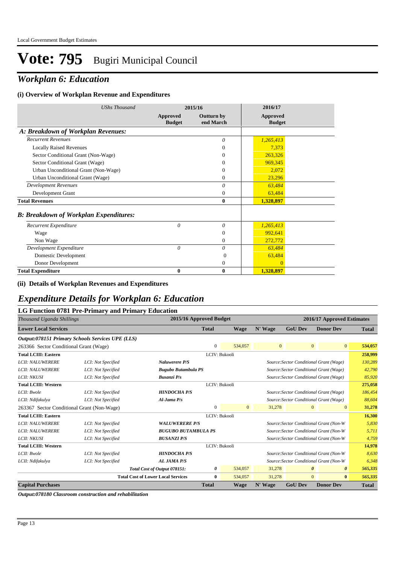## *Workplan 6: Education*

### **(i) Overview of Workplan Revenue and Expenditures**

| <b>UShs Thousand</b>                          |                           | 2015/16                        | 2016/17                   |  |
|-----------------------------------------------|---------------------------|--------------------------------|---------------------------|--|
|                                               | Approved<br><b>Budget</b> | <b>Outturn by</b><br>end March | Approved<br><b>Budget</b> |  |
| A: Breakdown of Workplan Revenues:            |                           |                                |                           |  |
| <b>Recurrent Revenues</b>                     |                           | $\theta$                       | 1,265,413                 |  |
| <b>Locally Raised Revenues</b>                |                           | $\Omega$                       | 7,373                     |  |
| Sector Conditional Grant (Non-Wage)           |                           | $\Omega$                       | 263,326                   |  |
| Sector Conditional Grant (Wage)               |                           | $\Omega$                       | 969,345                   |  |
| Urban Unconditional Grant (Non-Wage)          |                           | $\Omega$                       | 2,072                     |  |
| Urban Unconditional Grant (Wage)              |                           | $\Omega$                       | 23,296                    |  |
| <b>Development Revenues</b>                   |                           | $\theta$                       | 63,484                    |  |
| Development Grant                             |                           | $\overline{0}$                 | 63,484                    |  |
| <b>Total Revenues</b>                         |                           | $\mathbf{0}$                   | 1,328,897                 |  |
| <b>B: Breakdown of Workplan Expenditures:</b> |                           |                                |                           |  |
| Recurrent Expenditure                         | $\theta$                  | $\theta$                       | 1,265,413                 |  |
| Wage                                          |                           | $\Omega$                       | 992,641                   |  |
| Non Wage                                      |                           | $\theta$                       | 272,772                   |  |
| Development Expenditure                       | $\theta$                  | 0                              | 63,484                    |  |
| Domestic Development                          |                           | $\Omega$                       | 63,484                    |  |
| Donor Development                             |                           | $\mathbf{0}$                   | $\Omega$                  |  |
| <b>Total Expenditure</b>                      | 0                         | $\bf{0}$                       | 1,328,897                 |  |

### **(ii) Details of Workplan Revenues and Expenditures**

### *Expenditure Details for Workplan 6: Education*

### **LG Function 0781 Pre-Primary and Primary Education**

| Thousand Uganda Shillings                        |                    |                                           | 2015/16 Approved Budget |              |              | 2016/17 Approved Estimates |                                                |              |
|--------------------------------------------------|--------------------|-------------------------------------------|-------------------------|--------------|--------------|----------------------------|------------------------------------------------|--------------|
| <b>Lower Local Services</b>                      |                    |                                           | <b>Total</b>            | <b>Wage</b>  | N' Wage      | <b>GoU Dev</b>             | <b>Donor Dev</b>                               | <b>Total</b> |
| Output:078151 Primary Schools Services UPE (LLS) |                    |                                           |                         |              |              |                            |                                                |              |
| 263366 Sector Conditional Grant (Wage)           |                    |                                           | $\mathbf{0}$            | 534,057      | $\mathbf{0}$ |                            | $\overline{0}$<br>$\overline{0}$               | 534,057      |
| <b>Total LCIII: Eastern</b>                      |                    |                                           | LCIV: Bukooli           |              |              |                            |                                                | 258,999      |
| <b>LCII: NALUWERERE</b>                          | LCI: Not Specified | <b>Naluwerere P/S</b>                     |                         |              |              |                            | Source: Sector Conditional Grant (Wage)        | 130,289      |
| <b>LCII: NALUWERERE</b>                          | LCI: Not Specified | <b>Bugubo Butambula PS</b>                |                         |              |              |                            | Source: Sector Conditional Grant (Wage)        | 42,790       |
| LCII: NKUSI                                      | LCI: Not Specified | <b>Busanzi</b> P/s                        |                         |              |              |                            | Source: Sector Conditional Grant (Wage)        | 85,920       |
| <b>Total LCIII: Western</b>                      |                    |                                           | LCIV: Bukooli           |              |              |                            |                                                | 275,058      |
| LCII: Bwole                                      | LCI: Not Specified | <b>HINDOCHA P/S</b>                       |                         |              |              |                            | Source: Sector Conditional Grant (Wage)        | 186,454      |
| LCII: Ndifakulya                                 | LCI: Not Specified | $Al$ -Jama $P/s$                          |                         |              |              |                            | Source: Sector Conditional Grant (Wage)        | 88,604       |
| 263367 Sector Conditional Grant (Non-Wage)       |                    |                                           | $\mathbf{0}$            | $\mathbf{0}$ | 31,278       |                            | $\mathbf{0}$<br>$\overline{0}$                 | 31,278       |
| <b>Total LCIII: Eastern</b>                      |                    |                                           | LCIV: Bukooli           |              |              |                            |                                                | 16,300       |
| <b>LCII: NALUWERERE</b>                          | LCI: Not Specified | <b>WALUWERERE P/S</b>                     |                         |              |              |                            | Source: Sector Conditional Grant (Non-W        | 5,830        |
| <b>LCII: NALUWERERE</b>                          | LCI: Not Specified | <b>BUGUBO BUTAMBULA PS</b>                |                         |              |              |                            | Source: Sector Conditional Grant (Non-W        | 5,711        |
| LCII: NKUSI                                      | LCI: Not Specified | <b>BUSANZI P/S</b>                        |                         |              |              |                            | Source: Sector Conditional Grant (Non-W        | 4,759        |
| <b>Total LCIII: Western</b>                      |                    |                                           | LCIV: Bukooli           |              |              |                            |                                                | 14,978       |
| LCII: Bwole                                      | LCI: Not Specified | <b>HINDOCHA P/S</b>                       |                         |              |              |                            | Source: Sector Conditional Grant (Non-W        | 8,630        |
| LCII: Ndifakulya                                 | LCI: Not Specified | <b>AL JAMA P/S</b>                        |                         |              |              |                            | Source: Sector Conditional Grant (Non-W        | 6,348        |
|                                                  |                    | Total Cost of Output 078151:              | 0                       | 534,057      | 31,278       |                            | $\boldsymbol{\theta}$<br>$\boldsymbol{\theta}$ | 565,335      |
|                                                  |                    | <b>Total Cost of Lower Local Services</b> | $\mathbf{0}$            | 534,057      | 31,278       |                            | $\overline{0}$<br>$\bf{0}$                     | 565,335      |
| <b>Capital Purchases</b>                         |                    |                                           | <b>Total</b>            | <b>Wage</b>  | N' Wage      | <b>GoU Dev</b>             | <b>Donor Dev</b>                               | <b>Total</b> |

*Output:078180 Classroom construction and rehabilitation*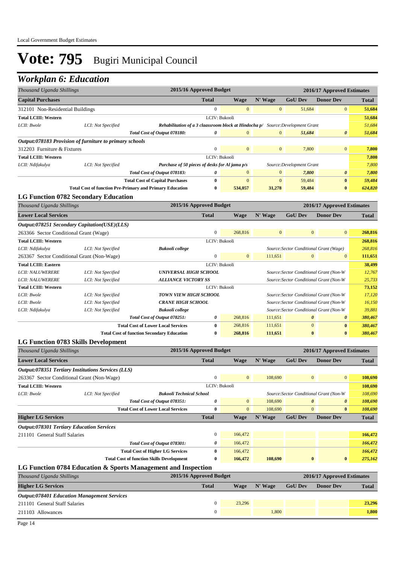## *Workplan 6: Education*

|                                                           | Thousand Uganda Shillings |                                                                                 |                         | 2015/16 Approved Budget |                                         |                                         | 2016/17 Approved Estimates              |              |  |
|-----------------------------------------------------------|---------------------------|---------------------------------------------------------------------------------|-------------------------|-------------------------|-----------------------------------------|-----------------------------------------|-----------------------------------------|--------------|--|
| <b>Capital Purchases</b>                                  |                           |                                                                                 | <b>Total</b>            | <b>Wage</b>             | N' Wage                                 | <b>GoU Dev</b>                          | <b>Donor Dev</b>                        | <b>Total</b> |  |
| 312101 Non-Residential Buildings                          |                           |                                                                                 | $\mathbf{0}$            | $\mathbf{0}$            | $\mathbf{0}$                            | 51,684                                  | $\mathbf{0}$                            | 51,684       |  |
| <b>Total LCIII: Western</b>                               |                           |                                                                                 | LCIV: Bukooli           |                         |                                         |                                         |                                         | 51,684       |  |
| LCII: Bwole                                               | LCI: Not Specified        | Rehabilitation of a 3 claassroom block at Hindocha p/ Source: Development Grant |                         |                         |                                         |                                         |                                         | 51,684       |  |
|                                                           |                           | Total Cost of Output 078180:                                                    | 0                       | $\boldsymbol{0}$        | $\mathbf{0}$                            | 51,684                                  | $\boldsymbol{\theta}$                   | 51,684       |  |
| Output:078183 Provision of furniture to primary schools   |                           |                                                                                 |                         |                         |                                         |                                         |                                         |              |  |
| 312203 Furniture & Fixtures                               |                           |                                                                                 | $\mathbf{0}$            | $\mathbf{0}$            | $\mathbf{0}$                            | 7,800                                   | $\bf{0}$                                | 7,800        |  |
| <b>Total LCIII: Western</b>                               |                           |                                                                                 | LCIV: Bukooli           |                         |                                         |                                         |                                         | 7,800        |  |
| LCII: Ndifakulya                                          | LCI: Not Specified        | Purchase of 50 pieces of desks for Al jama p/s                                  |                         |                         |                                         | Source:Development Grant                |                                         | 7,800        |  |
|                                                           |                           | Total Cost of Output 078183:                                                    | 0                       | $\bf{0}$                | $\bf{0}$                                | 7,800                                   | 0                                       | 7,800        |  |
|                                                           |                           | <b>Total Cost of Capital Purchases</b>                                          | $\bf{0}$                | $\mathbf{0}$            | $\mathbf{0}$                            | 59,484                                  | $\bf{0}$                                | 59,484       |  |
|                                                           |                           | <b>Total Cost of function Pre-Primary and Primary Education</b>                 | $\bf{0}$                | 534,057                 | 31,278                                  | 59,484                                  | $\bf{0}$                                | 624,820      |  |
| <b>LG Function 0782 Secondary Education</b>               |                           |                                                                                 |                         |                         |                                         |                                         |                                         |              |  |
| Thousand Uganda Shillings                                 |                           |                                                                                 | 2015/16 Approved Budget |                         |                                         |                                         | 2016/17 Approved Estimates              |              |  |
| <b>Lower Local Services</b>                               |                           |                                                                                 | <b>Total</b>            | Wage                    | N' Wage                                 | <b>GoU Dev</b>                          | <b>Donor Dev</b>                        | <b>Total</b> |  |
| Output:078251 Secondary Capitation(USE)(LLS)              |                           |                                                                                 |                         |                         |                                         |                                         |                                         |              |  |
| 263366 Sector Conditional Grant (Wage)                    |                           |                                                                                 | $\mathbf{0}$            | 268,816                 | $\mathbf{0}$                            | $\mathbf{0}$                            | $\mathbf{0}$                            | 268,816      |  |
| <b>Total LCIII: Western</b>                               |                           |                                                                                 | LCIV: Bukooli           |                         |                                         |                                         |                                         | 268,816      |  |
| LCII: Ndifakulya<br>LCI: Not Specified<br>Bukooli college |                           |                                                                                 |                         |                         |                                         | Source: Sector Conditional Grant (Wage) |                                         | 268,816      |  |
| 263367 Sector Conditional Grant (Non-Wage)                |                           |                                                                                 | $\boldsymbol{0}$        | $\overline{0}$          | 111,651                                 | $\overline{0}$                          | $\mathbf{0}$                            | 111,651      |  |
| <b>Total LCIII: Eastern</b>                               |                           |                                                                                 | LCIV: Bukooli           |                         |                                         |                                         |                                         | 38,499       |  |
| <b>LCII: NALUWERERE</b>                                   | LCI: Not Specified        | <b>UNIVERSAL HIGH SCHOOL</b>                                                    |                         |                         |                                         |                                         | Source: Sector Conditional Grant (Non-W | 12,767       |  |
| <b>LCII: NALUWERERE</b>                                   | LCI: Not Specified        | <b>ALLIANCE VICTORY SS</b>                                                      |                         |                         |                                         |                                         | Source: Sector Conditional Grant (Non-W | 25,733       |  |
| <b>Total LCIII: Western</b>                               |                           |                                                                                 | LCIV: Bukooli           |                         |                                         |                                         |                                         | 73,152       |  |
| LCII: Bwole                                               | LCI: Not Specified        | <b>TOWN VIEW HIGH SCHOOL</b>                                                    |                         |                         |                                         |                                         | Source: Sector Conditional Grant (Non-W | 17,120       |  |
| LCII: Bwole                                               | LCI: Not Specified        | <b>CRANE HIGH SCHOOL</b>                                                        |                         |                         | Source: Sector Conditional Grant (Non-W |                                         |                                         | 16,150       |  |
| LCII: Ndifakulya                                          | LCI: Not Specified        | <b>Bukooli</b> college                                                          |                         |                         |                                         |                                         | Source: Sector Conditional Grant (Non-W | 39,881       |  |
|                                                           |                           | Total Cost of Output 078251:                                                    | 0                       | 268,816                 | 111,651                                 | 0                                       | $\boldsymbol{\theta}$                   | 380,467      |  |
|                                                           |                           | <b>Total Cost of Lower Local Services</b>                                       | $\bf{0}$                | 268,816                 | 111,651                                 | $\mathbf{0}$                            | $\bf{0}$                                | 380,467      |  |
|                                                           |                           | <b>Total Cost of function Secondary Education</b>                               | 0                       | 268,816                 | 111,651                                 | $\bf{0}$                                | $\bf{0}$                                | 380,467      |  |
| LG Function 0783 Skills Development                       |                           |                                                                                 |                         |                         |                                         |                                         |                                         |              |  |
| Thousand Uganda Shillings                                 |                           |                                                                                 | 2015/16 Approved Budget |                         |                                         |                                         | 2016/17 Approved Estimates              |              |  |
| <b>Lower Local Services</b>                               |                           |                                                                                 | Total                   | <b>Wage</b>             | N' Wage                                 | <b>GoU</b> Dev                          | <b>Donor Dev</b>                        | <b>Total</b> |  |
| Output:078351 Tertiary Institutions Services (LLS)        |                           |                                                                                 |                         |                         |                                         |                                         |                                         |              |  |
| 263367 Sector Conditional Grant (Non-Wage)                |                           |                                                                                 | $\mathbf{0}$            | $\mathbf{0}$            | 108,690                                 | $\mathbf{0}$                            | $\mathbf{0}$                            | 108,690      |  |
| <b>Total LCIII: Western</b>                               |                           |                                                                                 | LCIV: Bukooli           |                         |                                         |                                         |                                         | 108,690      |  |
| LCII: Bwole                                               | LCI: Not Specified        | <b>Bukooli Technical School</b>                                                 |                         |                         |                                         |                                         | Source: Sector Conditional Grant (Non-W | 108,690      |  |
|                                                           |                           | Total Cost of Output 078351:                                                    | 0                       | $\boldsymbol{0}$        | 108,690                                 | 0                                       | 0                                       | 108,690      |  |
|                                                           |                           | <b>Total Cost of Lower Local Services</b>                                       | $\bf{0}$                | $\overline{0}$          | 108,690                                 | $\overline{0}$                          | $\bf{0}$                                | 108,690      |  |
| <b>Higher LG Services</b>                                 |                           |                                                                                 | <b>Total</b>            | <b>Wage</b>             | N' Wage                                 | <b>GoU Dev</b>                          | <b>Donor Dev</b>                        | Total        |  |
| <b>Output:078301 Tertiary Education Services</b>          |                           |                                                                                 |                         |                         |                                         |                                         |                                         |              |  |
| 211101 General Staff Salaries                             |                           |                                                                                 | $\bf{0}$                | 166,472                 |                                         |                                         |                                         | 166,472      |  |
|                                                           |                           | Total Cost of Output 078301:                                                    | 0                       | 166,472                 |                                         |                                         |                                         | 166,472      |  |
|                                                           |                           | <b>Total Cost of Higher LG Services</b>                                         | $\bf{0}$                | 166,472                 |                                         |                                         |                                         | 166,472      |  |
|                                                           |                           | <b>Total Cost of function Skills Development</b>                                | $\bf{0}$                | 166,472                 | 108,690                                 | $\bf{0}$                                | $\bf{0}$                                | 275,162      |  |
|                                                           |                           | LG Function 0784 Education & Sports Management and Inspection                   |                         |                         |                                         |                                         |                                         |              |  |
| Thousand Uganda Shillings                                 |                           |                                                                                 | 2015/16 Approved Budget |                         |                                         |                                         | 2016/17 Approved Estimates              |              |  |
| <b>Higher LG Services</b>                                 |                           |                                                                                 | <b>Total</b>            | <b>Wage</b>             | N' Wage                                 | <b>GoU Dev</b>                          | <b>Donor Dev</b>                        |              |  |
|                                                           |                           |                                                                                 |                         |                         |                                         |                                         |                                         | <b>Total</b> |  |
| <b>Output:078401 Education Management Services</b>        |                           |                                                                                 |                         |                         |                                         |                                         |                                         |              |  |
| 211101 General Staff Salaries                             |                           |                                                                                 | $\boldsymbol{0}$        | 23,296                  |                                         |                                         |                                         | 23,296       |  |
| 211103 Allowances                                         |                           |                                                                                 | $\boldsymbol{0}$        |                         | 1,800                                   |                                         |                                         | 1,800        |  |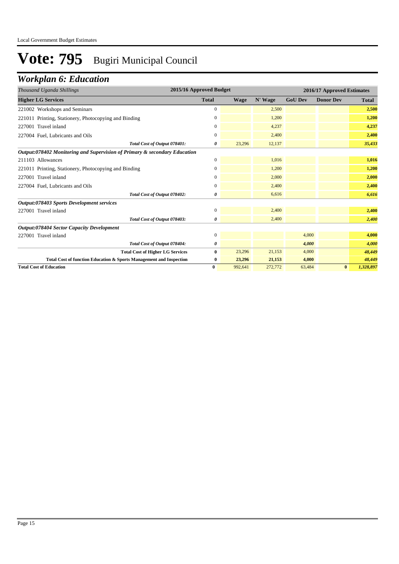## *Workplan 6: Education*

| Thousand Uganda Shillings                                                 | 2015/16 Approved Budget |         |         | 2016/17 Approved Estimates |                  |              |  |
|---------------------------------------------------------------------------|-------------------------|---------|---------|----------------------------|------------------|--------------|--|
| <b>Higher LG Services</b>                                                 | <b>Total</b>            | Wage    | N' Wage | <b>GoU Dev</b>             | <b>Donor Dev</b> | <b>Total</b> |  |
| 221002 Workshops and Seminars                                             | 0                       |         | 2,500   |                            |                  | 2,500        |  |
| 221011 Printing, Stationery, Photocopying and Binding                     | 0                       |         | 1,200   |                            |                  | 1,200        |  |
| 227001 Travel inland                                                      | $\mathbf{0}$            |         | 4.237   |                            |                  | 4,237        |  |
| 227004 Fuel, Lubricants and Oils                                          | $\mathbf{0}$            |         | 2,400   |                            |                  | 2,400        |  |
| Total Cost of Output 078401:                                              | 0                       | 23,296  | 12,137  |                            |                  | 35,433       |  |
| Output:078402 Monitoring and Supervision of Primary & secondary Education |                         |         |         |                            |                  |              |  |
| 211103 Allowances                                                         | $\mathbf{0}$            |         | 1,016   |                            |                  | 1,016        |  |
| 221011 Printing, Stationery, Photocopying and Binding                     | 0                       |         | 1,200   |                            |                  | 1,200        |  |
| 227001 Travel inland                                                      | 0                       |         | 2,000   |                            |                  | 2,000        |  |
| 227004 Fuel, Lubricants and Oils                                          | $\overline{0}$          |         | 2,400   |                            |                  | 2,400        |  |
| Total Cost of Output 078402:                                              | 0                       |         | 6,616   |                            |                  | 6,616        |  |
| Output:078403 Sports Development services                                 |                         |         |         |                            |                  |              |  |
| 227001 Travel inland                                                      | $\mathbf{0}$            |         | 2,400   |                            |                  | 2,400        |  |
| Total Cost of Output 078403:                                              | 0                       |         | 2,400   |                            |                  | 2,400        |  |
| <b>Output:078404 Sector Capacity Development</b>                          |                         |         |         |                            |                  |              |  |
| 227001 Travel inland                                                      | $\mathbf{0}$            |         |         | 4,000                      |                  | 4,000        |  |
| Total Cost of Output 078404:                                              | 0                       |         |         | 4,000                      |                  | 4,000        |  |
| <b>Total Cost of Higher LG Services</b>                                   | $\bf{0}$                | 23,296  | 21,153  | 4,000                      |                  | 48,449       |  |
| Total Cost of function Education & Sports Management and Inspection       | 0                       | 23,296  | 21,153  | 4,000                      |                  | 48,449       |  |
| <b>Total Cost of Education</b>                                            | $\bf{0}$                | 992,641 | 272,772 | 63,484                     | $\bf{0}$         | 1,328,897    |  |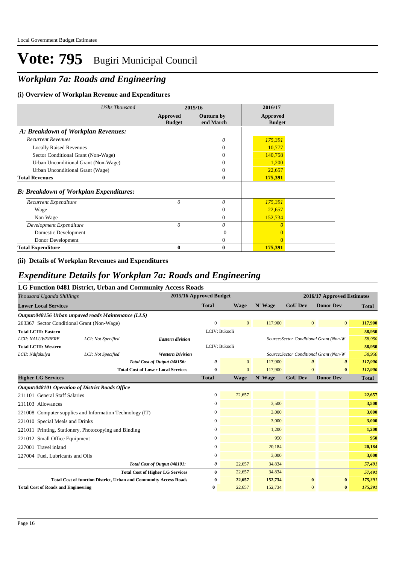## *Workplan 7a: Roads and Engineering*

### **(i) Overview of Workplan Revenue and Expenditures**

| <b>UShs Thousand</b>                          |                           | 2015/16                 | 2016/17                   |  |
|-----------------------------------------------|---------------------------|-------------------------|---------------------------|--|
|                                               | Approved<br><b>Budget</b> | Outturn by<br>end March | Approved<br><b>Budget</b> |  |
| A: Breakdown of Workplan Revenues:            |                           |                         |                           |  |
| <b>Recurrent Revenues</b>                     |                           | 0                       | 175,391                   |  |
| <b>Locally Raised Revenues</b>                |                           | $\mathbf{0}$            | 10,777                    |  |
| Sector Conditional Grant (Non-Wage)           |                           | $\Omega$                | 140,758                   |  |
| Urban Unconditional Grant (Non-Wage)          |                           | $\overline{0}$          | 1,200                     |  |
| Urban Unconditional Grant (Wage)              |                           | $\mathbf{0}$            | 22,657                    |  |
| <b>Total Revenues</b>                         |                           | $\bf{0}$                | 175,391                   |  |
| <b>B: Breakdown of Workplan Expenditures:</b> |                           |                         |                           |  |
| Recurrent Expenditure                         | 0                         | 0                       | 175,391                   |  |
| Wage                                          |                           | $\mathbf{0}$            | 22,657                    |  |
| Non Wage                                      |                           | $\Omega$                | 152,734                   |  |
| Development Expenditure                       | $\theta$                  | 0                       | $\Omega$                  |  |
| Domestic Development                          |                           | $\Omega$                | $\Omega$                  |  |
| Donor Development                             |                           | $\mathbf{0}$            |                           |  |
| <b>Total Expenditure</b>                      | $\bf{0}$                  | $\bf{0}$                | 175,391                   |  |

### **(ii) Details of Workplan Revenues and Expenditures**

### *Expenditure Details for Workplan 7a: Roads and Engineering*

#### **LG Function 0481 District, Urban and Community Access Roads**

| 2015/16 Approved Budget<br>Thousand Uganda Shillings<br>2016/17 Approved Estimates |                    |                                                                          |                  |                |         |                       |                                         |              |
|------------------------------------------------------------------------------------|--------------------|--------------------------------------------------------------------------|------------------|----------------|---------|-----------------------|-----------------------------------------|--------------|
| <b>Lower Local Services</b>                                                        |                    |                                                                          | <b>Total</b>     | <b>Wage</b>    | N' Wage | <b>GoU Dev</b>        | <b>Donor Dev</b>                        | <b>Total</b> |
| Output:048156 Urban unpaved roads Maintenance (LLS)                                |                    |                                                                          |                  |                |         |                       |                                         |              |
| 263367 Sector Conditional Grant (Non-Wage)                                         |                    |                                                                          | $\mathbf{0}$     | $\mathbf{0}$   | 117,900 | $\mathbf{0}$          | $\mathbf{0}$                            | 117,900      |
| <b>Total LCIII: Eastern</b>                                                        |                    |                                                                          | LCIV: Bukooli    |                |         |                       |                                         | 58,950       |
| <b>LCII: NALUWERERE</b>                                                            | LCI: Not Specified | <b>Eastern division</b>                                                  |                  |                |         |                       | Source: Sector Conditional Grant (Non-W | 58,950       |
| <b>Total LCIII: Western</b>                                                        |                    |                                                                          | LCIV: Bukooli    |                |         |                       |                                         | 58,950       |
| LCII: Ndifakulya                                                                   | LCI: Not Specified | <b>Western Division</b>                                                  |                  |                |         |                       | Source: Sector Conditional Grant (Non-W | 58,950       |
|                                                                                    |                    | Total Cost of Output 048156:                                             | 0                | $\overline{0}$ | 117,900 | $\boldsymbol{\theta}$ | $\boldsymbol{\theta}$                   | 117,900      |
|                                                                                    |                    | <b>Total Cost of Lower Local Services</b>                                | $\bf{0}$         | $\overline{0}$ | 117,900 | $\mathbf{0}$          | $\bf{0}$                                | 117,900      |
| <b>Higher LG Services</b>                                                          |                    |                                                                          | <b>Total</b>     | <b>Wage</b>    | N' Wage | <b>GoU Dev</b>        | <b>Donor Dev</b>                        | <b>Total</b> |
| <b>Output:048101 Operation of District Roads Office</b>                            |                    |                                                                          |                  |                |         |                       |                                         |              |
| 211101 General Staff Salaries                                                      |                    |                                                                          | $\mathbf{0}$     | 22,657         |         |                       |                                         | 22,657       |
| 211103 Allowances                                                                  |                    |                                                                          | $\mathbf{0}$     |                | 3,500   |                       |                                         | 3,500        |
| 221008 Computer supplies and Information Technology (IT)                           |                    |                                                                          | $\boldsymbol{0}$ |                | 3,000   |                       |                                         | 3,000        |
| 221010 Special Meals and Drinks                                                    |                    |                                                                          | $\mathbf{0}$     |                | 3,000   |                       |                                         | 3,000        |
| 221011 Printing, Stationery, Photocopying and Binding                              |                    |                                                                          | $\mathbf{0}$     |                | 1,200   |                       |                                         | 1,200        |
| 221012 Small Office Equipment                                                      |                    |                                                                          | $\mathbf{0}$     |                | 950     |                       |                                         | 950          |
| 227001 Travel inland                                                               |                    |                                                                          | $\mathbf{0}$     |                | 20,184  |                       |                                         | 20,184       |
| 227004 Fuel, Lubricants and Oils                                                   |                    |                                                                          | $\mathbf{0}$     |                | 3,000   |                       |                                         | 3,000        |
|                                                                                    |                    | Total Cost of Output 048101:                                             | 0                | 22,657         | 34,834  |                       |                                         | 57,491       |
|                                                                                    |                    | <b>Total Cost of Higher LG Services</b>                                  | 0                | 22,657         | 34,834  |                       |                                         | 57,491       |
|                                                                                    |                    | <b>Total Cost of function District, Urban and Community Access Roads</b> | 0                | 22,657         | 152,734 | $\bf{0}$              | $\bf{0}$                                | 175,391      |
| <b>Total Cost of Roads and Engineering</b>                                         |                    |                                                                          | $\bf{0}$         | 22,657         | 152,734 | $\mathbf{0}$          | $\bf{0}$                                | 175,391      |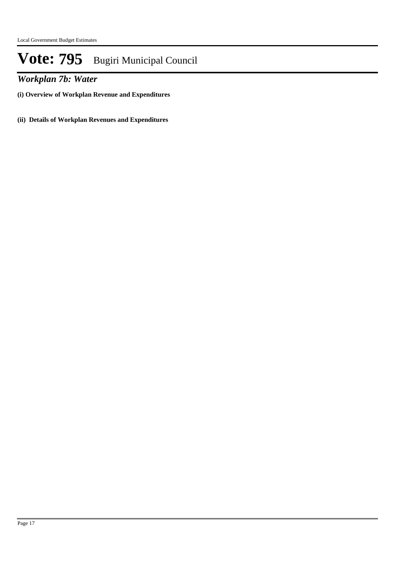*Workplan 7b: Water*

**(i) Overview of Workplan Revenue and Expenditures**

**(ii) Details of Workplan Revenues and Expenditures**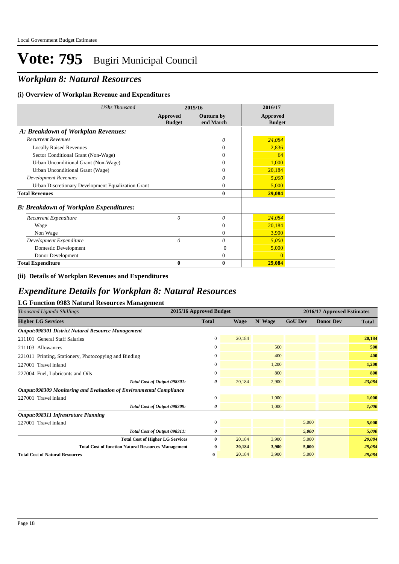## *Workplan 8: Natural Resources*

### **(i) Overview of Workplan Revenue and Expenditures**

| <b>UShs Thousand</b>                               |                           | 2015/16                        | 2016/17                   |  |
|----------------------------------------------------|---------------------------|--------------------------------|---------------------------|--|
|                                                    | Approved<br><b>Budget</b> | <b>Outturn by</b><br>end March | Approved<br><b>Budget</b> |  |
| A: Breakdown of Workplan Revenues:                 |                           |                                |                           |  |
| <b>Recurrent Revenues</b>                          |                           | $\theta$                       | 24,084                    |  |
| <b>Locally Raised Revenues</b>                     |                           | $\Omega$                       | 2,836                     |  |
| Sector Conditional Grant (Non-Wage)                |                           | $\Omega$                       | 64                        |  |
| Urban Unconditional Grant (Non-Wage)               |                           | $\Omega$                       | 1,000                     |  |
| Urban Unconditional Grant (Wage)                   |                           | $\Omega$                       | 20,184                    |  |
| <b>Development Revenues</b>                        |                           | 0                              | 5,000                     |  |
| Urban Discretionary Development Equalization Grant |                           | $\mathbf{0}$                   | 5,000                     |  |
| <b>Total Revenues</b>                              |                           | $\mathbf{0}$                   | 29,084                    |  |
| <b>B: Breakdown of Workplan Expenditures:</b>      |                           |                                |                           |  |
| Recurrent Expenditure                              | $\theta$                  | $\theta$                       | 24,084                    |  |
| Wage                                               |                           | $\mathbf{0}$                   | 20,184                    |  |
| Non Wage                                           |                           | $\Omega$                       | 3,900                     |  |
| Development Expenditure                            | $\theta$                  | 0                              | 5,000                     |  |
| Domestic Development                               |                           | $\Omega$                       | 5,000                     |  |
| Donor Development                                  |                           | $\mathbf{0}$                   | $\Omega$                  |  |
| <b>Total Expenditure</b>                           | 0                         | $\bf{0}$                       | 29,084                    |  |

#### **(ii) Details of Workplan Revenues and Expenditures**

### *Expenditure Details for Workplan 8: Natural Resources*

| LG Function 0983 Natural Resources Management                       |                         |             |         |                |                            |              |  |  |
|---------------------------------------------------------------------|-------------------------|-------------|---------|----------------|----------------------------|--------------|--|--|
| Thousand Uganda Shillings                                           | 2015/16 Approved Budget |             |         |                | 2016/17 Approved Estimates |              |  |  |
| <b>Higher LG Services</b>                                           | <b>Total</b>            | <b>Wage</b> | N' Wage | <b>GoU Dev</b> | <b>Donor Dev</b>           | <b>Total</b> |  |  |
| Output:098301 District Natural Resource Management                  |                         |             |         |                |                            |              |  |  |
| 211101 General Staff Salaries                                       | $\mathbf{0}$            | 20,184      |         |                |                            | 20,184       |  |  |
| 211103 Allowances                                                   | $\mathbf{0}$            |             | 500     |                |                            | 500          |  |  |
| 221011 Printing, Stationery, Photocopying and Binding               | 0                       |             | 400     |                |                            | 400          |  |  |
| 227001 Travel inland                                                | $\Omega$                |             | 1,200   |                |                            | 1,200        |  |  |
| 227004 Fuel, Lubricants and Oils                                    | $\Omega$                |             | 800     |                |                            | 800          |  |  |
| Total Cost of Output 098301:                                        | 0                       | 20,184      | 2,900   |                |                            | 23,084       |  |  |
| Output:098309 Monitoring and Evaluation of Environmental Compliance |                         |             |         |                |                            |              |  |  |
| 227001 Travel inland                                                | $\Omega$                |             | 1,000   |                |                            | 1,000        |  |  |
| Total Cost of Output 098309:                                        | 0                       |             | 1,000   |                |                            | 1,000        |  |  |
| Output:098311 Infrastruture Planning                                |                         |             |         |                |                            |              |  |  |
| 227001 Travel inland                                                | $\mathbf{0}$            |             |         | 5,000          |                            | 5,000        |  |  |
| Total Cost of Output 098311:                                        | 0                       |             |         | 5,000          |                            | 5,000        |  |  |
| <b>Total Cost of Higher LG Services</b>                             | $\mathbf{0}$            | 20,184      | 3,900   | 5,000          |                            | 29,084       |  |  |
| <b>Total Cost of function Natural Resources Management</b>          | $\bf{0}$                | 20,184      | 3,900   | 5,000          |                            | 29,084       |  |  |
| <b>Total Cost of Natural Resources</b>                              | $\bf{0}$                | 20.184      | 3,900   | 5,000          |                            | 29,084       |  |  |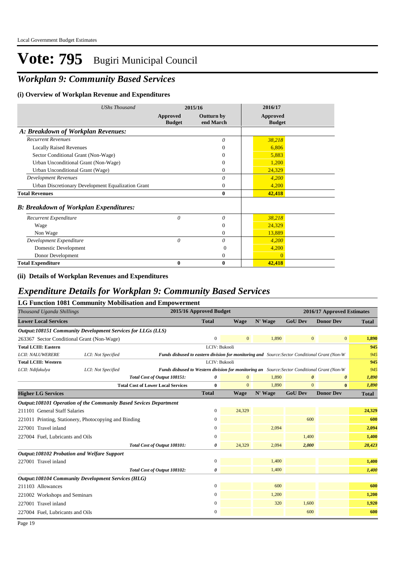## *Workplan 9: Community Based Services*

### **(i) Overview of Workplan Revenue and Expenditures**

| <b>UShs Thousand</b>                               |                           | 2015/16                        | 2016/17                          |
|----------------------------------------------------|---------------------------|--------------------------------|----------------------------------|
|                                                    | Approved<br><b>Budget</b> | <b>Outturn by</b><br>end March | <b>Approved</b><br><b>Budget</b> |
| A: Breakdown of Workplan Revenues:                 |                           |                                |                                  |
| <b>Recurrent Revenues</b>                          |                           | $\theta$                       | 38,218                           |
| <b>Locally Raised Revenues</b>                     |                           | $\Omega$                       | 6,806                            |
| Sector Conditional Grant (Non-Wage)                |                           | $\Omega$                       | 5,883                            |
| Urban Unconditional Grant (Non-Wage)               |                           | $\Omega$                       | 1,200                            |
| Urban Unconditional Grant (Wage)                   |                           | $\Omega$                       | 24,329                           |
| <b>Development Revenues</b>                        |                           | $\theta$                       | 4,200                            |
| Urban Discretionary Development Equalization Grant |                           | $\mathbf{0}$                   | 4,200                            |
| <b>Total Revenues</b>                              |                           | $\bf{0}$                       | 42,418                           |
| <b>B: Breakdown of Workplan Expenditures:</b>      |                           |                                |                                  |
| Recurrent Expenditure                              | 0                         | $\theta$                       | 38,218                           |
| Wage                                               |                           | $\theta$                       | 24,329                           |
| Non Wage                                           |                           | $\mathbf{0}$                   | 13,889                           |
| Development Expenditure                            | 0                         | 0                              | 4,200                            |
| Domestic Development                               |                           | $\Omega$                       | 4,200                            |
| Donor Development                                  |                           | 0                              | $\Omega$                         |
| <b>Total Expenditure</b>                           | 0                         | $\boldsymbol{0}$               | 42,418                           |

**(ii) Details of Workplan Revenues and Expenditures**

## *Expenditure Details for Workplan 9: Community Based Services*

|                                                                   |                    | <b>LG Function 1081 Community Mobilisation and Empowerment</b>                                |                         |                |         |                       |                            |              |
|-------------------------------------------------------------------|--------------------|-----------------------------------------------------------------------------------------------|-------------------------|----------------|---------|-----------------------|----------------------------|--------------|
| Thousand Uganda Shillings                                         |                    |                                                                                               | 2015/16 Approved Budget |                |         |                       | 2016/17 Approved Estimates |              |
| <b>Lower Local Services</b>                                       |                    |                                                                                               | <b>Total</b>            | <b>Wage</b>    | N' Wage | <b>GoU Dev</b>        | <b>Donor Dev</b>           | <b>Total</b> |
| Output:108151 Community Development Services for LLGs (LLS)       |                    |                                                                                               |                         |                |         |                       |                            |              |
| 263367 Sector Conditional Grant (Non-Wage)                        |                    |                                                                                               | $\mathbf{0}$            | $\overline{0}$ | 1,890   | $\mathbf{0}$          | $\mathbf{0}$               | 1,890        |
| <b>Total LCIII: Eastern</b>                                       |                    |                                                                                               | LCIV: Bukooli           |                |         |                       |                            | 945          |
| <b>LCII: NALUWERERE</b>                                           | LCI: Not Specified | Funds disbused to eastern division for monitoring and Source: Sector Conditional Grant (Non-W |                         |                |         |                       |                            | 945          |
| <b>Total LCIII: Western</b>                                       |                    |                                                                                               | LCIV: Bukooli           |                |         |                       |                            | 945          |
| LCII: Ndifakulya                                                  | LCI: Not Specified | Funds disbused to Western division for monitoring an Source: Sector Conditional Grant (Non-W  |                         |                |         |                       |                            | 945          |
|                                                                   |                    | Total Cost of Output 108151:                                                                  | 0                       | $\mathbf{0}$   | 1.890   | $\boldsymbol{\theta}$ | $\boldsymbol{\theta}$      | 1,890        |
|                                                                   |                    | <b>Total Cost of Lower Local Services</b>                                                     | $\bf{0}$                | $\Omega$       | 1.890   | $\mathbf{0}$          | $\bf{0}$                   | 1,890        |
| <b>Higher LG Services</b>                                         |                    |                                                                                               | <b>Total</b>            | <b>Wage</b>    | N' Wage | <b>GoU Dev</b>        | <b>Donor Dev</b>           | <b>Total</b> |
| Output:108101 Operation of the Community Based Sevices Department |                    |                                                                                               |                         |                |         |                       |                            |              |
| 211101 General Staff Salaries                                     |                    |                                                                                               | 0                       | 24,329         |         |                       |                            | 24,329       |
| 221011 Printing, Stationery, Photocopying and Binding             |                    |                                                                                               | $\boldsymbol{0}$        |                |         | 600                   |                            | 600          |
| 227001 Travel inland                                              |                    |                                                                                               | 0                       |                | 2,094   |                       |                            | 2,094        |
| 227004 Fuel, Lubricants and Oils                                  |                    |                                                                                               | 0                       |                |         | 1,400                 |                            | 1,400        |
|                                                                   |                    | Total Cost of Output 108101:                                                                  | 0                       | 24,329         | 2,094   | 2,000                 |                            | 28,423       |
| <b>Output:108102 Probation and Welfare Support</b>                |                    |                                                                                               |                         |                |         |                       |                            |              |
| 227001 Travel inland                                              |                    |                                                                                               | $\mathbf{0}$            |                | 1,400   |                       |                            | 1,400        |
|                                                                   |                    | Total Cost of Output 108102:                                                                  | 0                       |                | 1,400   |                       |                            | 1,400        |
| <b>Output:108104 Community Development Services (HLG)</b>         |                    |                                                                                               |                         |                |         |                       |                            |              |
| 211103 Allowances                                                 |                    |                                                                                               | 0                       |                | 600     |                       |                            | 600          |
| 221002 Workshops and Seminars                                     |                    |                                                                                               | 0                       |                | 1,200   |                       |                            | 1,200        |
| 227001 Travel inland                                              |                    |                                                                                               | 0                       |                | 320     | 1,600                 |                            | 1,920        |
| 227004 Fuel, Lubricants and Oils                                  |                    |                                                                                               | 0                       |                |         | 600                   |                            | 600          |
|                                                                   |                    |                                                                                               |                         |                |         |                       |                            |              |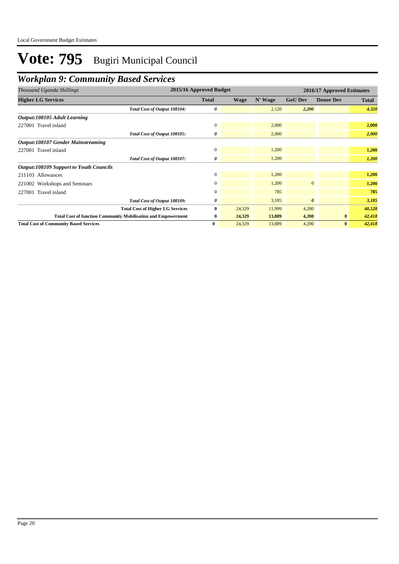## *Workplan 9: Community Based Services*

| Thousand Uganda Shillings                                            | 2015/16 Approved Budget |             |         |                       | 2016/17 Approved Estimates |              |
|----------------------------------------------------------------------|-------------------------|-------------|---------|-----------------------|----------------------------|--------------|
| <b>Higher LG Services</b>                                            | <b>Total</b>            | <b>Wage</b> | N' Wage | <b>GoU Dev</b>        | <b>Donor Dev</b>           | <b>Total</b> |
| Total Cost of Output 108104:                                         | 0                       |             | 2,120   | 2,200                 |                            | 4,320        |
| Output:108105 Adult Learning                                         |                         |             |         |                       |                            |              |
| 227001 Travel inland                                                 | $\mathbf{0}$            |             | 2,000   |                       |                            | 2,000        |
| Total Cost of Output 108105:                                         | 0                       |             | 2,000   |                       |                            | 2,000        |
| <b>Output:108107 Gender Mainstreaming</b>                            |                         |             |         |                       |                            |              |
| 227001 Travel inland                                                 | $\mathbf{0}$            |             | 1,200   |                       |                            | 1,200        |
| Total Cost of Output 108107:                                         | 0                       |             | 1,200   |                       |                            | 1,200        |
| <b>Output:108109 Support to Youth Councils</b>                       |                         |             |         |                       |                            |              |
| 211103 Allowances                                                    | $\mathbf{0}$            |             | 1,200   |                       |                            | 1,200        |
| 221002 Workshops and Seminars                                        | $\mathbf{0}$            |             | 1,200   | $\mathbf{0}$          |                            | 1,200        |
| 227001 Travel inland                                                 | $\mathbf{0}$            |             | 785     |                       |                            | 785          |
| Total Cost of Output 108109:                                         | 0                       |             | 3,185   | $\boldsymbol{\theta}$ |                            | 3,185        |
| <b>Total Cost of Higher LG Services</b>                              | 0                       | 24,329      | 11,999  | 4,200                 |                            | 40,528       |
| <b>Total Cost of function Community Mobilisation and Empowerment</b> | $\bf{0}$                | 24,329      | 13,889  | 4,200                 | $\bf{0}$                   | 42,418       |
| <b>Total Cost of Community Based Services</b>                        | $\bf{0}$                | 24,329      | 13,889  | 4,200                 | $\bf{0}$                   | 42,418       |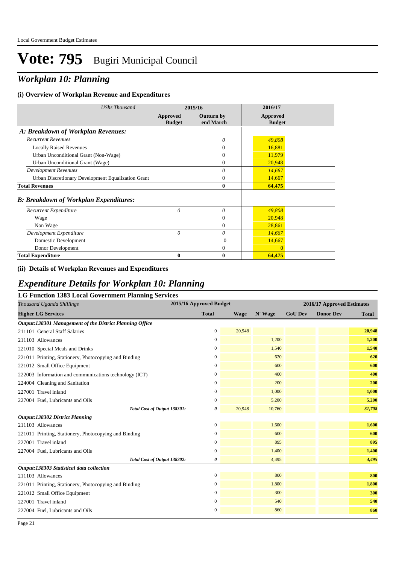## *Workplan 10: Planning*

### **(i) Overview of Workplan Revenue and Expenditures**

| <b>UShs Thousand</b>                               |                           | 2015/16                        | 2016/17                          |
|----------------------------------------------------|---------------------------|--------------------------------|----------------------------------|
|                                                    | Approved<br><b>Budget</b> | <b>Outturn by</b><br>end March | <b>Approved</b><br><b>Budget</b> |
| A: Breakdown of Workplan Revenues:                 |                           |                                |                                  |
| <b>Recurrent Revenues</b>                          |                           | $\theta$                       | 49,808                           |
| <b>Locally Raised Revenues</b>                     |                           | $\Omega$                       | 16,881                           |
| Urban Unconditional Grant (Non-Wage)               |                           | $\Omega$                       | 11,979                           |
| Urban Unconditional Grant (Wage)                   |                           | $\Omega$                       | 20,948                           |
| <b>Development Revenues</b>                        |                           | $\theta$                       | 14,667                           |
| Urban Discretionary Development Equalization Grant |                           | $\theta$                       | 14,667                           |
| <b>Total Revenues</b>                              |                           | $\bf{0}$                       | 64,475                           |
| <b>B: Breakdown of Workplan Expenditures:</b>      |                           |                                |                                  |
| Recurrent Expenditure                              | $\theta$                  | $\theta$                       | 49,808                           |
| Wage                                               |                           | $\theta$                       | 20,948                           |
| Non Wage                                           |                           | $\Omega$                       | 28,861                           |
| Development Expenditure                            | 0                         | $\theta$                       | 14,667                           |
| Domestic Development                               |                           | 0                              | 14,667                           |
| Donor Development                                  |                           | $\mathbf{0}$                   | $\Omega$                         |
| <b>Total Expenditure</b>                           | 0                         | $\bf{0}$                       | 64,475                           |

#### **(ii) Details of Workplan Revenues and Expenditures**

### *Expenditure Details for Workplan 10: Planning*

#### **LG Function 1383 Local Government Planning Services**

| Thousand Uganda Shillings                                | 2015/16 Approved Budget |             | 2016/17 Approved Estimates |                |                  |              |
|----------------------------------------------------------|-------------------------|-------------|----------------------------|----------------|------------------|--------------|
| <b>Higher LG Services</b>                                | <b>Total</b>            | <b>Wage</b> | N' Wage                    | <b>GoU Dev</b> | <b>Donor Dev</b> | <b>Total</b> |
| Output:138301 Management of the District Planning Office |                         |             |                            |                |                  |              |
| 211101 General Staff Salaries                            | $\mathbf{0}$            | 20,948      |                            |                |                  | 20,948       |
| 211103 Allowances                                        | $\mathbf{0}$            |             | 1,200                      |                |                  | 1,200        |
| 221010 Special Meals and Drinks                          | 0                       |             | 1,540                      |                |                  | 1,540        |
| 221011 Printing, Stationery, Photocopying and Binding    | $\boldsymbol{0}$        |             | 620                        |                |                  | 620          |
| 221012 Small Office Equipment                            | $\mathbf{0}$            |             | 600                        |                |                  | 600          |
| 222003 Information and communications technology (ICT)   | $\boldsymbol{0}$        |             | 400                        |                |                  | 400          |
| 224004 Cleaning and Sanitation                           | $\boldsymbol{0}$        |             | 200                        |                |                  | 200          |
| 227001 Travel inland                                     | $\boldsymbol{0}$        |             | 1,000                      |                |                  | 1,000        |
| 227004 Fuel, Lubricants and Oils                         | $\boldsymbol{0}$        |             | 5,200                      |                |                  | 5,200        |
| Total Cost of Output 138301:                             | 0                       | 20,948      | 10,760                     |                |                  | 31,708       |
| Output:138302 District Planning                          |                         |             |                            |                |                  |              |
| 211103 Allowances                                        | $\boldsymbol{0}$        |             | 1,600                      |                |                  | 1,600        |
| 221011 Printing, Stationery, Photocopying and Binding    | $\mathbf{0}$            |             | 600                        |                |                  | 600          |
| 227001 Travel inland                                     | $\mathbf{0}$            |             | 895                        |                |                  | 895          |
| 227004 Fuel, Lubricants and Oils                         | $\boldsymbol{0}$        |             | 1,400                      |                |                  | 1,400        |
| Total Cost of Output 138302:                             | 0                       |             | 4,495                      |                |                  | 4,495        |
| Output:138303 Statistical data collection                |                         |             |                            |                |                  |              |
| 211103 Allowances                                        | $\boldsymbol{0}$        |             | 800                        |                |                  | 800          |
| 221011 Printing, Stationery, Photocopying and Binding    | $\boldsymbol{0}$        |             | 1,800                      |                |                  | 1,800        |
| 221012 Small Office Equipment                            | $\mathbf{0}$            |             | 300                        |                |                  | 300          |
| 227001 Travel inland                                     | $\boldsymbol{0}$        |             | 540                        |                |                  | 540          |
| 227004 Fuel, Lubricants and Oils                         | $\boldsymbol{0}$        |             | 860                        |                |                  | 860          |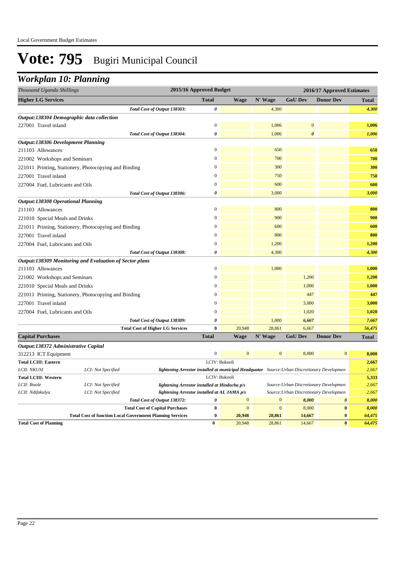## *Workplan 10: Planning*

| Thousand Uganda Shillings                                      |                                                                                                            | 2015/16 Approved Budget                                                                      |                        |                  |                                        | 2016/17 Approved Estimates |                 |
|----------------------------------------------------------------|------------------------------------------------------------------------------------------------------------|----------------------------------------------------------------------------------------------|------------------------|------------------|----------------------------------------|----------------------------|-----------------|
| <b>Higher LG Services</b>                                      |                                                                                                            | <b>Total</b>                                                                                 | <b>Wage</b>            | N' Wage          | <b>GoU Dev</b>                         | <b>Donor Dev</b>           | <b>Total</b>    |
|                                                                | Total Cost of Output 138303:                                                                               | 0                                                                                            |                        | 4,300            |                                        |                            | 4,300           |
| Output:138304 Demographic data collection                      |                                                                                                            |                                                                                              |                        |                  |                                        |                            |                 |
| 227001 Travel inland                                           |                                                                                                            | $\mathbf{0}$                                                                                 |                        | 1,006            | $\mathbf{0}$                           |                            | 1,006           |
|                                                                | Total Cost of Output 138304:                                                                               | 0                                                                                            |                        | 1,006            | $\boldsymbol{\theta}$                  |                            | 1,006           |
| <b>Output:138306 Development Planning</b>                      |                                                                                                            |                                                                                              |                        |                  |                                        |                            |                 |
| 211103 Allowances                                              |                                                                                                            | $\mathbf{0}$                                                                                 |                        | 650              |                                        |                            | 650             |
| 221002 Workshops and Seminars                                  |                                                                                                            | $\mathbf{0}$                                                                                 |                        | 700              |                                        |                            | 700             |
| 221011 Printing, Stationery, Photocopying and Binding          |                                                                                                            | $\overline{0}$                                                                               |                        | 300              |                                        |                            | 300             |
| 227001 Travel inland                                           |                                                                                                            | $\overline{0}$                                                                               |                        | 750              |                                        |                            | 750             |
| 227004 Fuel, Lubricants and Oils                               |                                                                                                            | $\boldsymbol{0}$                                                                             |                        | 600              |                                        |                            | 600             |
|                                                                | Total Cost of Output 138306:                                                                               | $\boldsymbol{\theta}$                                                                        |                        | 3,000            |                                        |                            | 3,000           |
| <b>Output:138308 Operational Planning</b>                      |                                                                                                            |                                                                                              |                        |                  |                                        |                            |                 |
| 211103 Allowances                                              |                                                                                                            | $\Omega$                                                                                     |                        | 800              |                                        |                            | 800             |
| 221010 Special Meals and Drinks                                |                                                                                                            | $\mathbf{0}$                                                                                 |                        | 900              |                                        |                            | 900             |
| 221011 Printing, Stationery, Photocopying and Binding          |                                                                                                            | $\mathbf{0}$                                                                                 |                        | 600              |                                        |                            | 600             |
| 227001 Travel inland                                           |                                                                                                            | $\mathbf{0}$                                                                                 |                        | 800              |                                        |                            | 800             |
| 227004 Fuel, Lubricants and Oils                               |                                                                                                            | $\mathbf{0}$                                                                                 |                        | 1,200            |                                        |                            | 1,200           |
|                                                                | Total Cost of Output 138308:                                                                               | 0                                                                                            |                        | 4,300            |                                        |                            | 4,300           |
| <b>Output:138309 Monitoring and Evaluation of Sector plans</b> |                                                                                                            |                                                                                              |                        |                  |                                        |                            |                 |
| 211103 Allowances                                              |                                                                                                            | $\overline{0}$                                                                               |                        | 1,000            |                                        |                            | 1,000           |
| 221002 Workshops and Seminars                                  |                                                                                                            | $\mathbf{0}$                                                                                 |                        |                  | 1,200                                  |                            | 1,200           |
| 221010 Special Meals and Drinks                                |                                                                                                            | $\mathbf{0}$                                                                                 |                        |                  | 1,000                                  |                            | 1,000           |
| 221011 Printing, Stationery, Photocopying and Binding          |                                                                                                            | $\mathbf{0}$                                                                                 |                        |                  | 447                                    |                            | 447             |
| 227001 Travel inland                                           |                                                                                                            | $\boldsymbol{0}$                                                                             |                        |                  | 3,000                                  |                            | 3,000           |
| 227004 Fuel, Lubricants and Oils                               |                                                                                                            | $\overline{0}$                                                                               |                        |                  | 1,020                                  |                            | 1,020           |
|                                                                | Total Cost of Output 138309:                                                                               | $\boldsymbol{\theta}$                                                                        |                        | 1,000            | 6,667                                  |                            | 7,667           |
|                                                                | <b>Total Cost of Higher LG Services</b>                                                                    | $\bf{0}$                                                                                     | 20,948                 | 28,861           | 6,667                                  |                            | 56,475          |
| <b>Capital Purchases</b>                                       |                                                                                                            | <b>Total</b>                                                                                 | <b>Wage</b>            | N' Wage          | <b>GoU Dev</b>                         | <b>Donor Dev</b>           | <b>Total</b>    |
| Output:138372 Administrative Capital                           |                                                                                                            |                                                                                              |                        |                  |                                        |                            |                 |
| 312213 ICT Equipment                                           |                                                                                                            | $\boldsymbol{0}$                                                                             | $\mathbf{0}$           | $\overline{0}$   | 8,000                                  | $\boldsymbol{0}$           | 8,000           |
| <b>Total LCIII: Eastern</b>                                    |                                                                                                            |                                                                                              | LCIV: Bukooli          |                  |                                        |                            | 2,667           |
| LCII: NKUSI                                                    | LCI: Not Specified                                                                                         | lightening Arrestor installed at municipal Headquator Source: Urban Discretionary Developmen |                        |                  |                                        |                            | 2,667           |
| <b>Total LCIII: Western</b>                                    |                                                                                                            |                                                                                              | LCIV: Bukooli          |                  |                                        |                            | 5,333           |
| LCII: Bwole                                                    | LCI: Not Specified                                                                                         | lightening Arrestor installed at Hindocha p/s                                                |                        |                  | Source: Urban Discretionary Developmen |                            | 2,667           |
| LCII: Ndifakulya                                               | LCI: Not Specified                                                                                         | lightening Arrestor installed at AL JAMA p/s                                                 |                        |                  | Source: Urban Discretionary Developmen |                            | 2,667           |
|                                                                | Total Cost of Output 138372:                                                                               | 0                                                                                            | $\mathbf{0}$           | $\boldsymbol{0}$ | 8,000                                  | $\boldsymbol{\theta}$      | 8,000           |
|                                                                | <b>Total Cost of Capital Purchases</b><br><b>Total Cost of function Local Government Planning Services</b> | $\bf{0}$<br>$\bf{0}$                                                                         | $\mathbf{0}$<br>20,948 | $\mathbf{0}$     | 8,000<br>14,667                        | $\bf{0}$<br>$\bf{0}$       | 8,000<br>64,475 |
| <b>Total Cost of Planning</b>                                  |                                                                                                            | $\bf{0}$                                                                                     | 20,948                 | 28,861<br>28,861 | 14,667                                 | $\bf{0}$                   | 64,475          |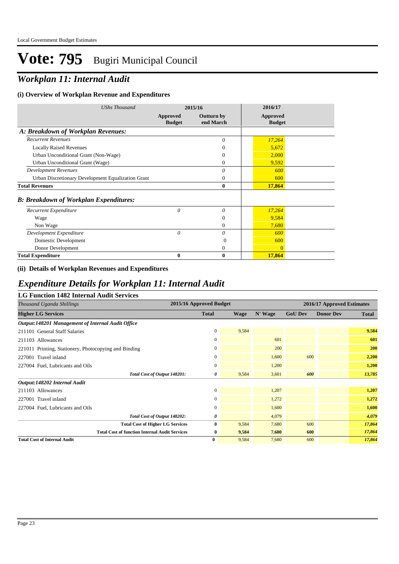## *Workplan 11: Internal Audit*

### **(i) Overview of Workplan Revenue and Expenditures**

| <b>UShs Thousand</b>                               |                           | 2015/16                        | 2016/17                          |  |
|----------------------------------------------------|---------------------------|--------------------------------|----------------------------------|--|
|                                                    | Approved<br><b>Budget</b> | <b>Outturn by</b><br>end March | <b>Approved</b><br><b>Budget</b> |  |
| A: Breakdown of Workplan Revenues:                 |                           |                                |                                  |  |
| <b>Recurrent Revenues</b>                          |                           | 0                              | 17,264                           |  |
| <b>Locally Raised Revenues</b>                     |                           | $\Omega$                       | 5,672                            |  |
| Urban Unconditional Grant (Non-Wage)               |                           | $\Omega$                       | 2,000                            |  |
| Urban Unconditional Grant (Wage)                   |                           | $\overline{0}$                 | 9,592                            |  |
| <b>Development Revenues</b>                        |                           | $\theta$                       | 600                              |  |
| Urban Discretionary Development Equalization Grant |                           | $\mathbf{0}$                   | 600                              |  |
| <b>Total Revenues</b>                              |                           | $\bf{0}$                       | 17,864                           |  |
| <b>B: Breakdown of Workplan Expenditures:</b>      |                           |                                |                                  |  |
| Recurrent Expenditure                              | 0                         | $\theta$                       | 17,264                           |  |
| Wage                                               |                           | $\Omega$                       | 9,584                            |  |
| Non Wage                                           |                           | $\Omega$                       | 7,680                            |  |
| Development Expenditure                            | $\theta$                  | $\theta$                       | 600                              |  |
| Domestic Development                               |                           | $\Omega$                       | 600                              |  |
| Donor Development                                  |                           | $\overline{0}$                 | $\overline{0}$                   |  |
| <b>Total Expenditure</b>                           | 0                         | $\boldsymbol{0}$               | 17,864                           |  |

### **(ii) Details of Workplan Revenues and Expenditures**

### *Expenditure Details for Workplan 11: Internal Audit*

| <b>LG Function 1482 Internal Audit Services</b>       |                         |       |         |                |                            |              |  |  |  |
|-------------------------------------------------------|-------------------------|-------|---------|----------------|----------------------------|--------------|--|--|--|
| Thousand Uganda Shillings                             | 2015/16 Approved Budget |       |         |                | 2016/17 Approved Estimates |              |  |  |  |
| <b>Higher LG Services</b>                             | <b>Total</b>            | Wage  | N' Wage | <b>GoU Dev</b> | <b>Donor Dev</b>           | <b>Total</b> |  |  |  |
| Output:148201 Management of Internal Audit Office     |                         |       |         |                |                            |              |  |  |  |
| 211101 General Staff Salaries                         | $\boldsymbol{0}$        | 9,584 |         |                |                            | 9,584        |  |  |  |
| 211103 Allowances                                     | $\boldsymbol{0}$        |       | 601     |                |                            | 601          |  |  |  |
| 221011 Printing, Stationery, Photocopying and Binding | $\mathbf{0}$            |       | 200     |                |                            | 200          |  |  |  |
| 227001 Travel inland                                  | $\mathbf{0}$            |       | 1,600   | 600            |                            | 2,200        |  |  |  |
| 227004 Fuel, Lubricants and Oils                      | $\mathbf{0}$            |       | 1,200   |                |                            | 1,200        |  |  |  |
| Total Cost of Output 148201:                          | 0                       | 9,584 | 3.601   | 600            |                            | 13,785       |  |  |  |
| Output:148202 Internal Audit                          |                         |       |         |                |                            |              |  |  |  |
| 211103 Allowances                                     | $\overline{0}$          |       | 1,207   |                |                            | 1,207        |  |  |  |
| 227001 Travel inland                                  | $\boldsymbol{0}$        |       | 1,272   |                |                            | 1,272        |  |  |  |
| 227004 Fuel, Lubricants and Oils                      | $\mathbf{0}$            |       | 1,600   |                |                            | 1,600        |  |  |  |
| Total Cost of Output 148202:                          | 0                       |       | 4,079   |                |                            | 4,079        |  |  |  |
| <b>Total Cost of Higher LG Services</b>               | $\bf{0}$                | 9,584 | 7,680   | 600            |                            | 17,864       |  |  |  |
| <b>Total Cost of function Internal Audit Services</b> | $\bf{0}$                | 9,584 | 7,680   | 600            |                            | 17,864       |  |  |  |
| <b>Total Cost of Internal Audit</b>                   | $\bf{0}$                | 9,584 | 7,680   | 600            |                            | 17,864       |  |  |  |